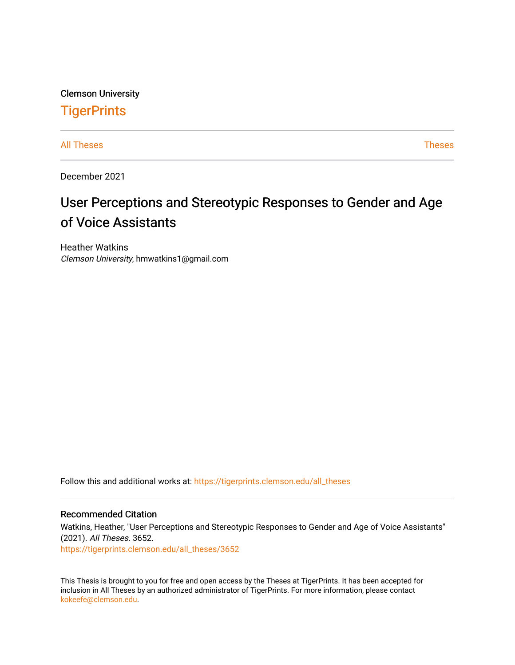Clemson University **TigerPrints** 

[All Theses](https://tigerprints.clemson.edu/all_theses) **Theses** [Theses](https://tigerprints.clemson.edu/theses) **Theses** 

December 2021

# User Perceptions and Stereotypic Responses to Gender and Age of Voice Assistants

Heather Watkins Clemson University, hmwatkins1@gmail.com

Follow this and additional works at: [https://tigerprints.clemson.edu/all\\_theses](https://tigerprints.clemson.edu/all_theses?utm_source=tigerprints.clemson.edu%2Fall_theses%2F3652&utm_medium=PDF&utm_campaign=PDFCoverPages) 

# Recommended Citation

Watkins, Heather, "User Perceptions and Stereotypic Responses to Gender and Age of Voice Assistants" (2021). All Theses. 3652.

[https://tigerprints.clemson.edu/all\\_theses/3652](https://tigerprints.clemson.edu/all_theses/3652?utm_source=tigerprints.clemson.edu%2Fall_theses%2F3652&utm_medium=PDF&utm_campaign=PDFCoverPages) 

This Thesis is brought to you for free and open access by the Theses at TigerPrints. It has been accepted for inclusion in All Theses by an authorized administrator of TigerPrints. For more information, please contact [kokeefe@clemson.edu](mailto:kokeefe@clemson.edu).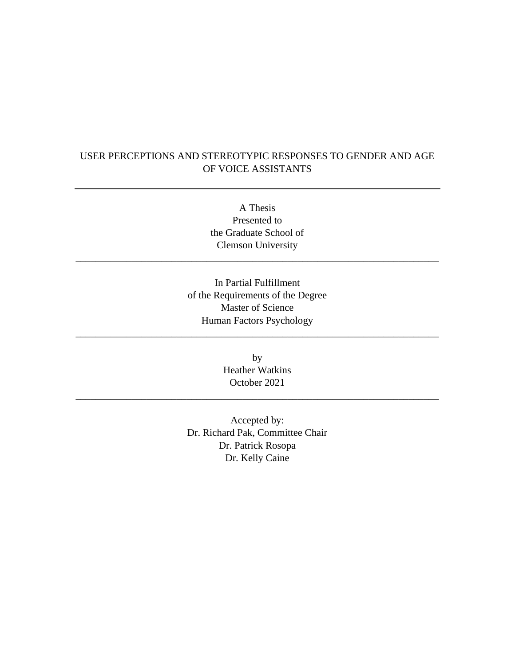# USER PERCEPTIONS AND STEREOTYPIC RESPONSES TO GENDER AND AGE OF VOICE ASSISTANTS

A Thesis Presented to the Graduate School of Clemson University

\_\_\_\_\_\_\_\_\_\_\_\_\_\_\_\_\_\_\_\_\_\_\_\_\_\_\_\_\_\_\_\_\_\_\_\_\_\_\_\_\_\_\_\_\_\_\_\_\_\_\_\_\_\_\_\_\_\_\_\_\_\_\_\_\_\_\_\_\_\_\_\_

In Partial Fulfillment of the Requirements of the Degree Master of Science Human Factors Psychology

\_\_\_\_\_\_\_\_\_\_\_\_\_\_\_\_\_\_\_\_\_\_\_\_\_\_\_\_\_\_\_\_\_\_\_\_\_\_\_\_\_\_\_\_\_\_\_\_\_\_\_\_\_\_\_\_\_\_\_\_\_\_\_\_\_\_\_\_\_\_\_\_

by Heather Watkins October 2021

\_\_\_\_\_\_\_\_\_\_\_\_\_\_\_\_\_\_\_\_\_\_\_\_\_\_\_\_\_\_\_\_\_\_\_\_\_\_\_\_\_\_\_\_\_\_\_\_\_\_\_\_\_\_\_\_\_\_\_\_\_\_\_\_\_\_\_\_\_\_\_\_

Accepted by: Dr. Richard Pak, Committee Chair Dr. Patrick Rosopa Dr. Kelly Caine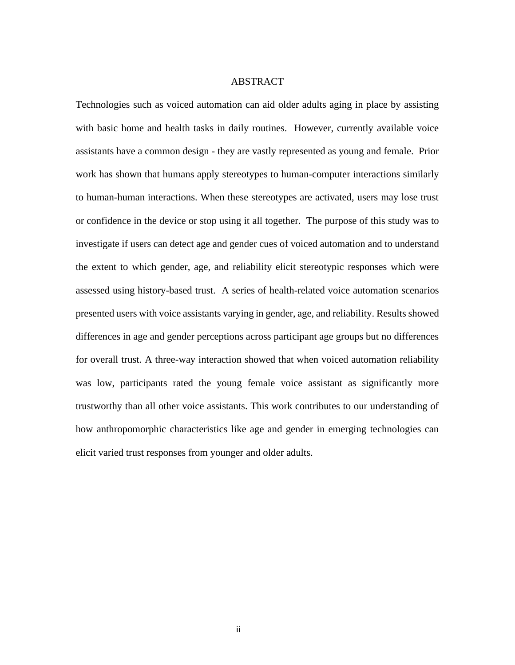#### ABSTRACT

Technologies such as voiced automation can aid older adults aging in place by assisting with basic home and health tasks in daily routines. However, currently available voice assistants have a common design - they are vastly represented as young and female. Prior work has shown that humans apply stereotypes to human-computer interactions similarly to human-human interactions. When these stereotypes are activated, users may lose trust or confidence in the device or stop using it all together. The purpose of this study was to investigate if users can detect age and gender cues of voiced automation and to understand the extent to which gender, age, and reliability elicit stereotypic responses which were assessed using history-based trust. A series of health-related voice automation scenarios presented users with voice assistants varying in gender, age, and reliability. Results showed differences in age and gender perceptions across participant age groups but no differences for overall trust. A three-way interaction showed that when voiced automation reliability was low, participants rated the young female voice assistant as significantly more trustworthy than all other voice assistants. This work contributes to our understanding of how anthropomorphic characteristics like age and gender in emerging technologies can elicit varied trust responses from younger and older adults.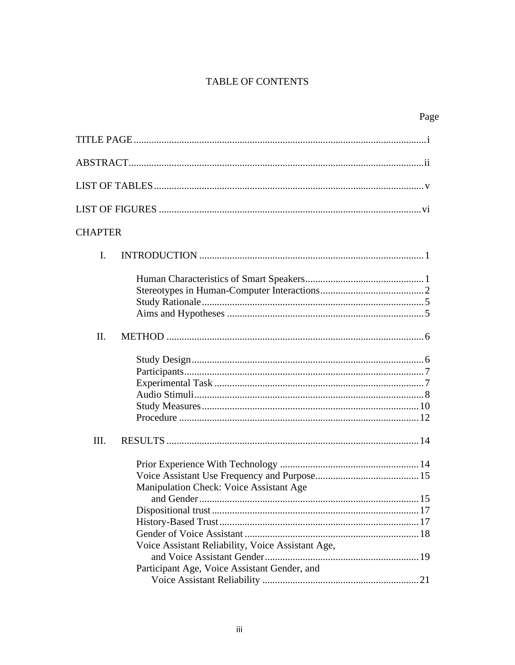# TABLE OF CONTENTS

| <b>CHAPTER</b> |                                                                                              |
|----------------|----------------------------------------------------------------------------------------------|
| $\mathbf{I}$ . |                                                                                              |
|                |                                                                                              |
| II.            |                                                                                              |
|                |                                                                                              |
| Ш.             |                                                                                              |
|                | Manipulation Check: Voice Assistant Age<br>Voice Assistant Reliability, Voice Assistant Age, |
|                |                                                                                              |
|                | Participant Age, Voice Assistant Gender, and                                                 |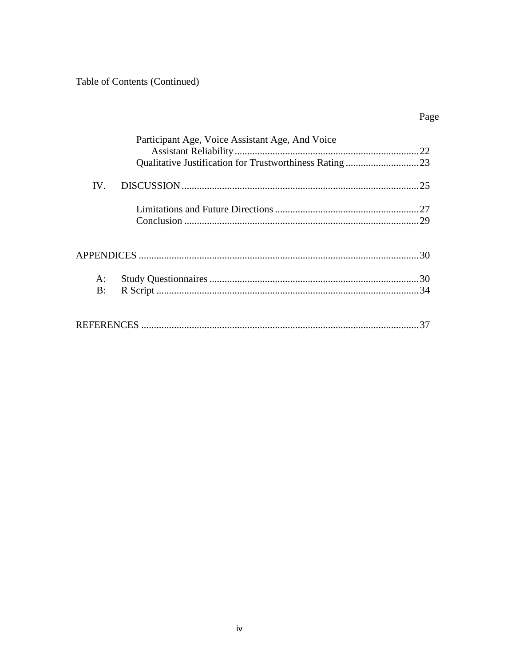Table of Contents (Continued)

|          | Participant Age, Voice Assistant Age, And Voice |    |
|----------|-------------------------------------------------|----|
|          |                                                 |    |
| $IV_{-}$ |                                                 |    |
|          |                                                 |    |
|          |                                                 |    |
|          |                                                 |    |
| A:       |                                                 |    |
| B:       |                                                 |    |
|          |                                                 | 37 |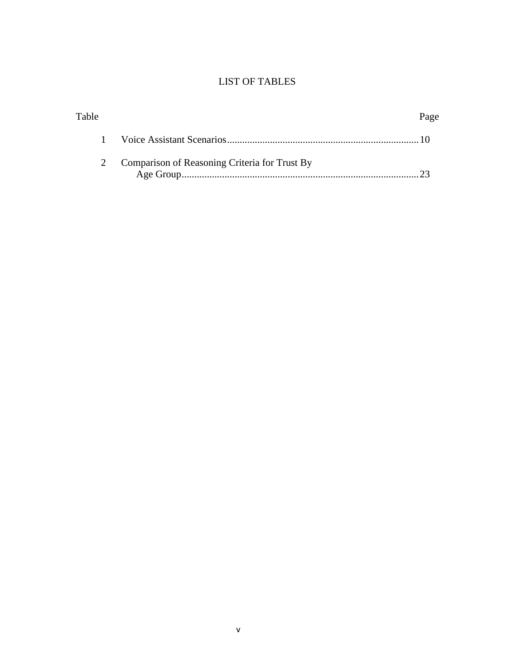# LIST OF TABLES

| Table |                                               | Page |
|-------|-----------------------------------------------|------|
|       |                                               |      |
|       | Comparison of Reasoning Criteria for Trust By |      |
|       |                                               |      |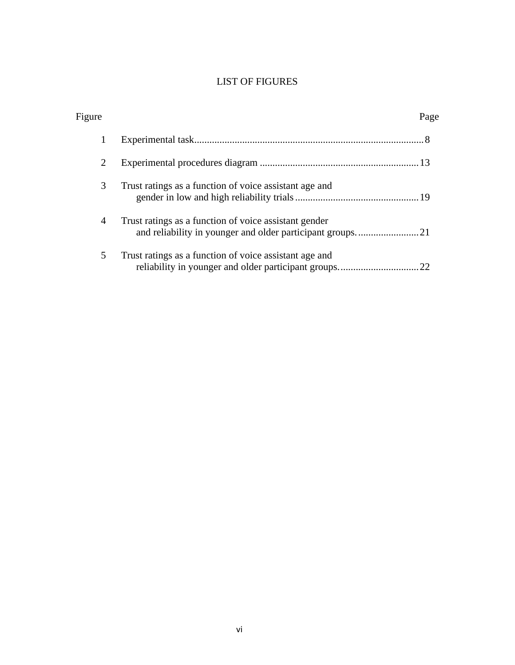# LIST OF FIGURES

| Figure         |                                                        | Page |
|----------------|--------------------------------------------------------|------|
| 1              |                                                        |      |
| 2              |                                                        |      |
| 3              | Trust ratings as a function of voice assistant age and |      |
| $\overline{4}$ | Trust ratings as a function of voice assistant gender  |      |
| 5              | Trust ratings as a function of voice assistant age and |      |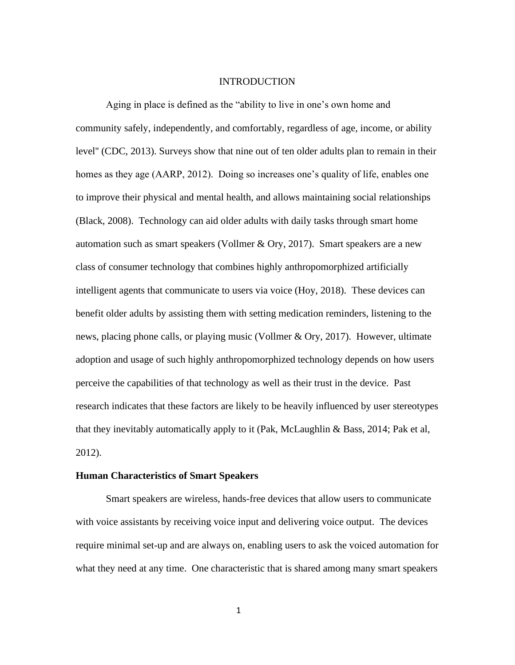#### INTRODUCTION

Aging in place is defined as the "ability to live in one's own home and community safely, independently, and comfortably, regardless of age, income, or ability level'' (CDC, 2013). Surveys show that nine out of ten older adults plan to remain in their homes as they age (AARP, 2012). Doing so increases one's quality of life, enables one to improve their physical and mental health, and allows maintaining social relationships (Black, 2008). Technology can aid older adults with daily tasks through smart home automation such as smart speakers (Vollmer & Ory, 2017). Smart speakers are a new class of consumer technology that combines highly anthropomorphized artificially intelligent agents that communicate to users via voice (Hoy, 2018). These devices can benefit older adults by assisting them with setting medication reminders, listening to the news, placing phone calls, or playing music (Vollmer & Ory, 2017). However, ultimate adoption and usage of such highly anthropomorphized technology depends on how users perceive the capabilities of that technology as well as their trust in the device. Past research indicates that these factors are likely to be heavily influenced by user stereotypes that they inevitably automatically apply to it (Pak, McLaughlin & Bass, 2014; Pak et al, 2012).

# **Human Characteristics of Smart Speakers**

Smart speakers are wireless, hands-free devices that allow users to communicate with voice assistants by receiving voice input and delivering voice output. The devices require minimal set-up and are always on, enabling users to ask the voiced automation for what they need at any time. One characteristic that is shared among many smart speakers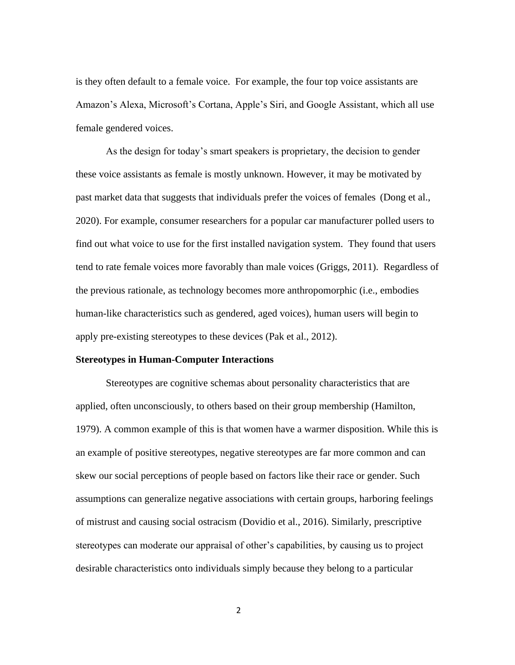is they often default to a female voice. For example, the four top voice assistants are Amazon's Alexa, Microsoft's Cortana, Apple's Siri, and Google Assistant, which all use female gendered voices.

As the design for today's smart speakers is proprietary, the decision to gender these voice assistants as female is mostly unknown. However, it may be motivated by past market data that suggests that individuals prefer the voices of females (Dong et al., 2020). For example, consumer researchers for a popular car manufacturer polled users to find out what voice to use for the first installed navigation system. They found that users tend to rate female voices more favorably than male voices (Griggs, 2011). Regardless of the previous rationale, as technology becomes more anthropomorphic (i.e., embodies human-like characteristics such as gendered, aged voices), human users will begin to apply pre-existing stereotypes to these devices (Pak et al., 2012).

# **Stereotypes in Human-Computer Interactions**

Stereotypes are cognitive schemas about personality characteristics that are applied, often unconsciously, to others based on their group membership (Hamilton, 1979). A common example of this is that women have a warmer disposition. While this is an example of positive stereotypes, negative stereotypes are far more common and can skew our social perceptions of people based on factors like their race or gender. Such assumptions can generalize negative associations with certain groups, harboring feelings of mistrust and causing social ostracism (Dovidio et al., 2016). Similarly, prescriptive stereotypes can moderate our appraisal of other's capabilities, by causing us to project desirable characteristics onto individuals simply because they belong to a particular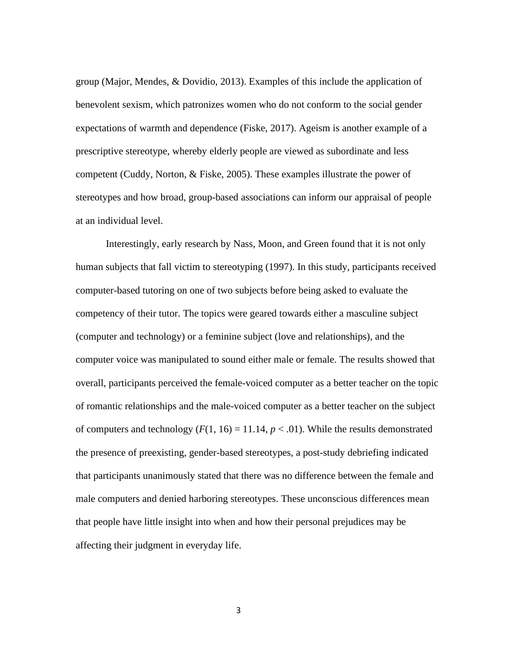group (Major, Mendes, & Dovidio, 2013). Examples of this include the application of benevolent sexism, which patronizes women who do not conform to the social gender expectations of warmth and dependence (Fiske, 2017). Ageism is another example of a prescriptive stereotype, whereby elderly people are viewed as subordinate and less competent (Cuddy, Norton, & Fiske, 2005). These examples illustrate the power of stereotypes and how broad, group-based associations can inform our appraisal of people at an individual level.

Interestingly, early research by Nass, Moon, and Green found that it is not only human subjects that fall victim to stereotyping (1997). In this study, participants received computer-based tutoring on one of two subjects before being asked to evaluate the competency of their tutor. The topics were geared towards either a masculine subject (computer and technology) or a feminine subject (love and relationships), and the computer voice was manipulated to sound either male or female. The results showed that overall, participants perceived the female-voiced computer as a better teacher on the topic of romantic relationships and the male-voiced computer as a better teacher on the subject of computers and technology  $(F(1, 16) = 11.14, p < .01)$ . While the results demonstrated the presence of preexisting, gender-based stereotypes, a post-study debriefing indicated that participants unanimously stated that there was no difference between the female and male computers and denied harboring stereotypes. These unconscious differences mean that people have little insight into when and how their personal prejudices may be affecting their judgment in everyday life.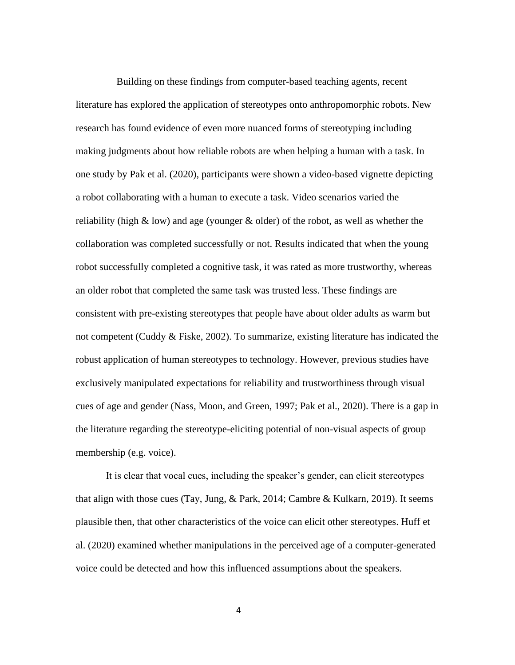Building on these findings from computer-based teaching agents, recent literature has explored the application of stereotypes onto anthropomorphic robots. New research has found evidence of even more nuanced forms of stereotyping including making judgments about how reliable robots are when helping a human with a task. In one study by Pak et al. (2020), participants were shown a video-based vignette depicting a robot collaborating with a human to execute a task. Video scenarios varied the reliability (high  $\&$  low) and age (younger  $\&$  older) of the robot, as well as whether the collaboration was completed successfully or not. Results indicated that when the young robot successfully completed a cognitive task, it was rated as more trustworthy, whereas an older robot that completed the same task was trusted less. These findings are consistent with pre-existing stereotypes that people have about older adults as warm but not competent (Cuddy & Fiske, 2002). To summarize, existing literature has indicated the robust application of human stereotypes to technology. However, previous studies have exclusively manipulated expectations for reliability and trustworthiness through visual cues of age and gender (Nass, Moon, and Green, 1997; Pak et al., 2020). There is a gap in the literature regarding the stereotype-eliciting potential of non-visual aspects of group membership (e.g. voice).

It is clear that vocal cues, including the speaker's gender, can elicit stereotypes that align with those cues (Tay, Jung, & Park, 2014; Cambre & Kulkarn, 2019). It seems plausible then, that other characteristics of the voice can elicit other stereotypes. Huff et al. (2020) examined whether manipulations in the perceived age of a computer-generated voice could be detected and how this influenced assumptions about the speakers.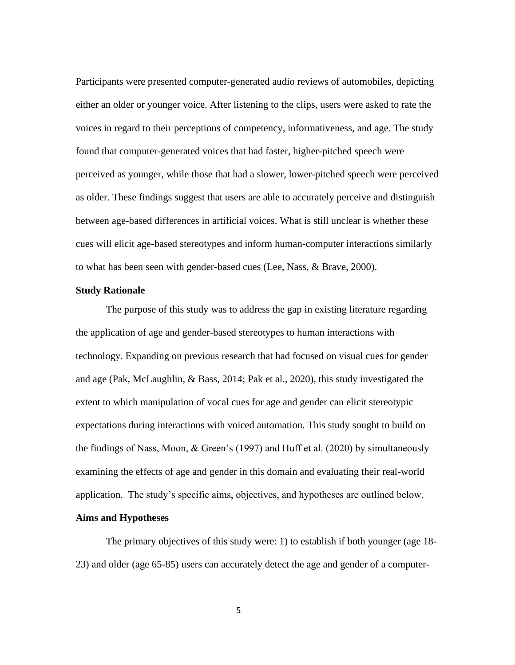Participants were presented computer-generated audio reviews of automobiles, depicting either an older or younger voice. After listening to the clips, users were asked to rate the voices in regard to their perceptions of competency, informativeness, and age. The study found that computer-generated voices that had faster, higher-pitched speech were perceived as younger, while those that had a slower, lower-pitched speech were perceived as older. These findings suggest that users are able to accurately perceive and distinguish between age-based differences in artificial voices. What is still unclear is whether these cues will elicit age-based stereotypes and inform human-computer interactions similarly to what has been seen with gender-based cues (Lee, Nass, & Brave, 2000).

# **Study Rationale**

The purpose of this study was to address the gap in existing literature regarding the application of age and gender-based stereotypes to human interactions with technology. Expanding on previous research that had focused on visual cues for gender and age (Pak, McLaughlin, & Bass, 2014; Pak et al., 2020), this study investigated the extent to which manipulation of vocal cues for age and gender can elicit stereotypic expectations during interactions with voiced automation. This study sought to build on the findings of Nass, Moon, & Green's (1997) and Huff et al. (2020) by simultaneously examining the effects of age and gender in this domain and evaluating their real-world application. The study's specific aims, objectives, and hypotheses are outlined below.

# **Aims and Hypotheses**

The primary objectives of this study were: 1) to establish if both younger (age 18- 23) and older (age 65-85) users can accurately detect the age and gender of a computer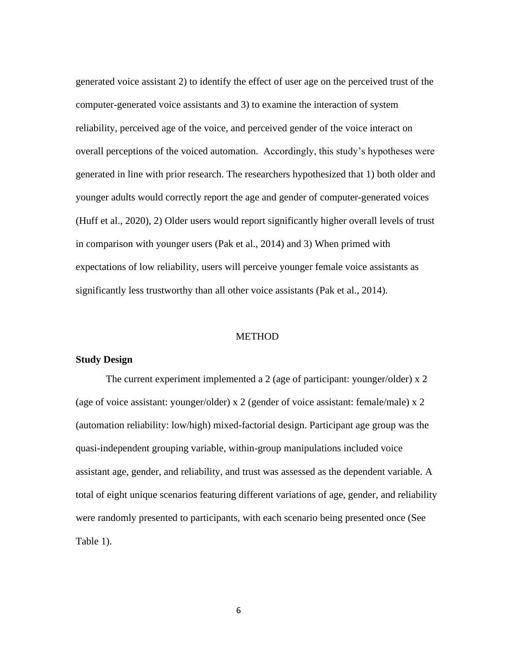generated voice assistant 2) to identify the effect of user age on the perceived trust of the computer-generated voice assistants and 3) to examine the interaction of system reliability, perceived age of the voice, and perceived gender of the voice interact on overall perceptions of the voiced automation. Accordingly, this study's hypotheses were generated in line with prior research. The researchers hypothesized that 1) both older and younger adults would correctly report the age and gender of computer-generated voices (Huff et al., 2020), 2) Older users would report significantly higher overall levels of trust in comparison with younger users (Pak et al., 2014) and 3) When primed with expectations of low reliability, users will perceive younger female voice assistants as significantly less trustworthy than all other voice assistants (Pak et al., 2014).

# METHOD

# **Study Design**

The current experiment implemented a 2 (age of participant: younger/older) x 2 (age of voice assistant: younger/older) x 2 (gender of voice assistant: female/male) x 2 (automation reliability: low/high) mixed-factorial design. Participant age group was the quasi-independent grouping variable, within-group manipulations included voice assistant age, gender, and reliability, and trust was assessed as the dependent variable. A total of eight unique scenarios featuring different variations of age, gender, and reliability were randomly presented to participants, with each scenario being presented once (See Table 1).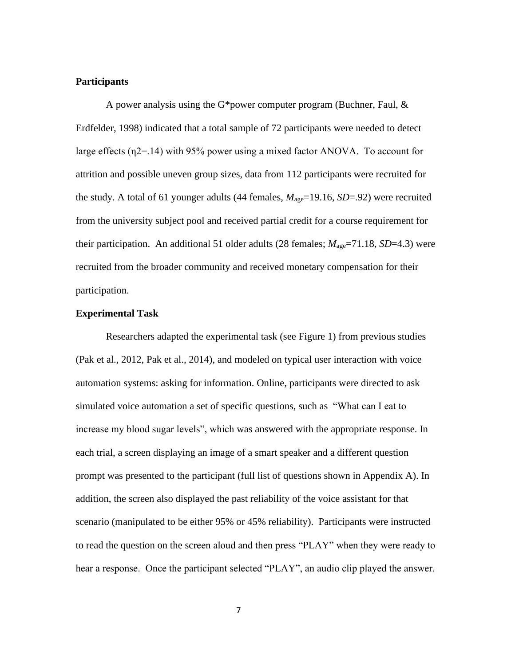#### **Participants**

A power analysis using the G\*power computer program (Buchner, Faul, & Erdfelder, 1998) indicated that a total sample of 72 participants were needed to detect large effects  $(\eta_2 = 14)$  with 95% power using a mixed factor ANOVA. To account for attrition and possible uneven group sizes, data from 112 participants were recruited for the study. A total of 61 younger adults (44 females, *M*age=19.16, *SD*=.92) were recruited from the university subject pool and received partial credit for a course requirement for their participation. An additional 51 older adults (28 females;  $M_{\text{age}}$ =71.18, *SD*=4.3) were recruited from the broader community and received monetary compensation for their participation.

# **Experimental Task**

Researchers adapted the experimental task (see Figure 1) from previous studies (Pak et al., 2012, Pak et al., 2014), and modeled on typical user interaction with voice automation systems: asking for information. Online, participants were directed to ask simulated voice automation a set of specific questions, such as "What can I eat to increase my blood sugar levels", which was answered with the appropriate response. In each trial, a screen displaying an image of a smart speaker and a different question prompt was presented to the participant (full list of questions shown in Appendix A). In addition, the screen also displayed the past reliability of the voice assistant for that scenario (manipulated to be either 95% or 45% reliability). Participants were instructed to read the question on the screen aloud and then press "PLAY" when they were ready to hear a response. Once the participant selected "PLAY", an audio clip played the answer.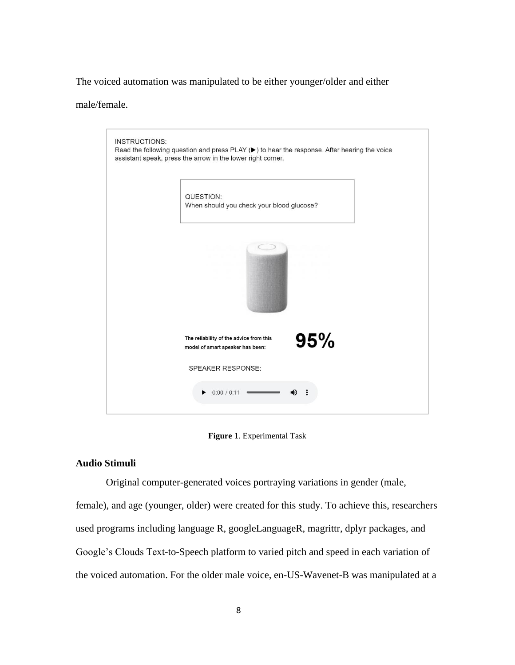The voiced automation was manipulated to be either younger/older and either

male/female.

| <b>INSTRUCTIONS:</b> | Read the following question and press PLAY ( $\blacktriangleright$ ) to hear the response. After hearing the voice<br>assistant speak, press the arrow in the lower right corner. |     |  |
|----------------------|-----------------------------------------------------------------------------------------------------------------------------------------------------------------------------------|-----|--|
|                      | QUESTION:<br>When should you check your blood glucose?                                                                                                                            |     |  |
|                      |                                                                                                                                                                                   |     |  |
|                      | The reliability of the advice from this<br>model of smart speaker has been:                                                                                                       | 95% |  |
|                      | <b>SPEAKER RESPONSE:</b>                                                                                                                                                          |     |  |
|                      | 0:00 / 0:11<br>▶                                                                                                                                                                  |     |  |

**Figure 1**. Experimental Task

# **Audio Stimuli**

Original computer-generated voices portraying variations in gender (male,

female), and age (younger, older) were created for this study. To achieve this, researchers used programs including language R, googleLanguageR, magrittr, dplyr packages, and Google's Clouds Text-to-Speech platform to varied pitch and speed in each variation of the voiced automation. For the older male voice, en-US-Wavenet-B was manipulated at a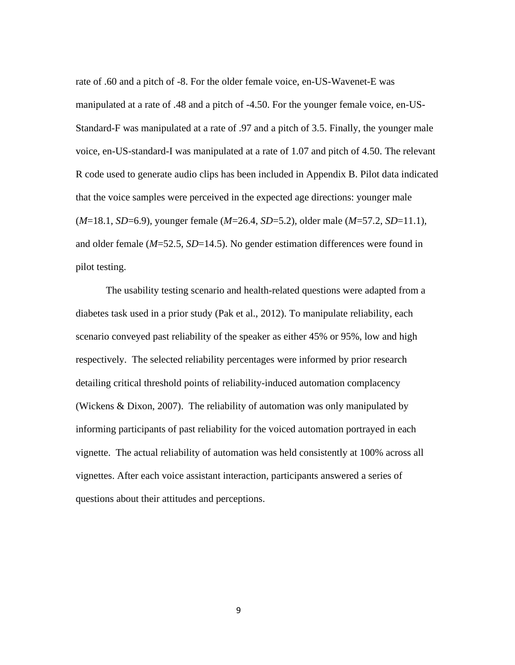rate of .60 and a pitch of -8. For the older female voice, en-US-Wavenet-E was manipulated at a rate of .48 and a pitch of -4.50. For the younger female voice, en-US-Standard-F was manipulated at a rate of .97 and a pitch of 3.5. Finally, the younger male voice, en-US-standard-I was manipulated at a rate of 1.07 and pitch of 4.50. The relevant R code used to generate audio clips has been included in Appendix B. Pilot data indicated that the voice samples were perceived in the expected age directions: younger male (*M*=18.1, *SD*=6.9), younger female (*M*=26.4, *SD*=5.2), older male (*M*=57.2, *SD*=11.1), and older female (*M*=52.5, *SD*=14.5). No gender estimation differences were found in pilot testing.

The usability testing scenario and health-related questions were adapted from a diabetes task used in a prior study (Pak et al., 2012). To manipulate reliability, each scenario conveyed past reliability of the speaker as either 45% or 95%, low and high respectively. The selected reliability percentages were informed by prior research detailing critical threshold points of reliability-induced automation complacency (Wickens & Dixon, 2007). The reliability of automation was only manipulated by informing participants of past reliability for the voiced automation portrayed in each vignette. The actual reliability of automation was held consistently at 100% across all vignettes. After each voice assistant interaction, participants answered a series of questions about their attitudes and perceptions.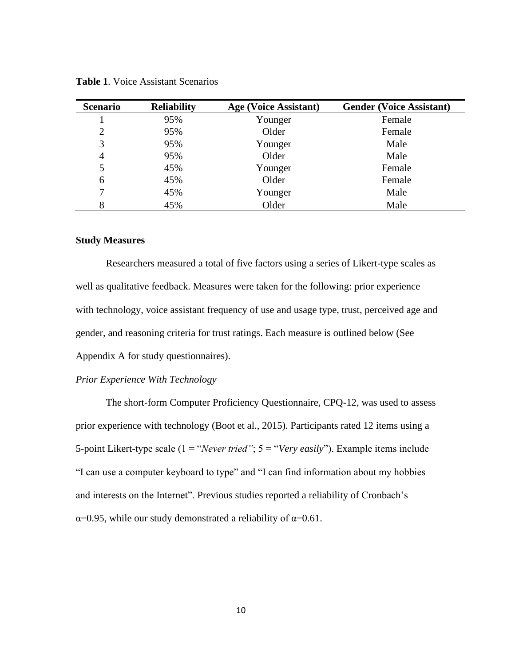| <b>Scenario</b> | <b>Reliability</b> | <b>Age (Voice Assistant)</b> | <b>Gender (Voice Assistant)</b> |
|-----------------|--------------------|------------------------------|---------------------------------|
|                 | 95%                | Younger                      | Female                          |
| 2               | 95%                | Older                        | Female                          |
| 3               | 95%                | Younger                      | Male                            |
| 4               | 95%                | Older                        | Male                            |
| 5               | 45%                | Younger                      | Female                          |
| 6               | 45%                | Older                        | Female                          |
|                 | 45%                | Younger                      | Male                            |
| 8               | 45%                | Older                        | Male                            |

**Table 1**. Voice Assistant Scenarios

# **Study Measures**

Researchers measured a total of five factors using a series of Likert-type scales as well as qualitative feedback. Measures were taken for the following: prior experience with technology, voice assistant frequency of use and usage type, trust, perceived age and gender, and reasoning criteria for trust ratings. Each measure is outlined below (See Appendix A for study questionnaires).

# *Prior Experience With Technology*

The short-form Computer Proficiency Questionnaire, CPQ-12, was used to assess prior experience with technology (Boot et al., 2015). Participants rated 12 items using a 5-point Likert-type scale (1 = "*Never tried"*; 5 = "*Very easily*"). Example items include "I can use a computer keyboard to type" and "I can find information about my hobbies and interests on the Internet". Previous studies reported a reliability of Cronbach's  $\alpha$ =0.95, while our study demonstrated a reliability of  $\alpha$ =0.61.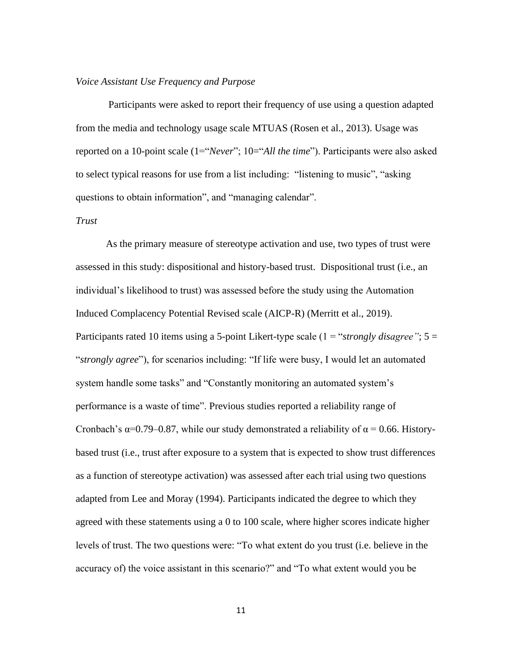#### *Voice Assistant Use Frequency and Purpose*

Participants were asked to report their frequency of use using a question adapted from the media and technology usage scale MTUAS (Rosen et al., 2013). Usage was reported on a 10-point scale (1="*Never*"; 10="*All the time*"). Participants were also asked to select typical reasons for use from a list including: "listening to music", "asking questions to obtain information", and "managing calendar".

# *Trust*

As the primary measure of stereotype activation and use, two types of trust were assessed in this study: dispositional and history-based trust. Dispositional trust (i.e., an individual's likelihood to trust) was assessed before the study using the Automation Induced Complacency Potential Revised scale (AICP-R) (Merritt et al., 2019). Participants rated 10 items using a 5-point Likert-type scale (1 = "*strongly disagree"*; 5 = "*strongly agree*"), for scenarios including: "If life were busy, I would let an automated system handle some tasks" and "Constantly monitoring an automated system's performance is a waste of time". Previous studies reported a reliability range of Cronbach's  $\alpha$ =0.79–0.87, while our study demonstrated a reliability of  $\alpha$  = 0.66. Historybased trust (i.e., trust after exposure to a system that is expected to show trust differences as a function of stereotype activation) was assessed after each trial using two questions adapted from Lee and Moray (1994). Participants indicated the degree to which they agreed with these statements using a 0 to 100 scale, where higher scores indicate higher levels of trust. The two questions were: "To what extent do you trust (i.e. believe in the accuracy of) the voice assistant in this scenario?" and "To what extent would you be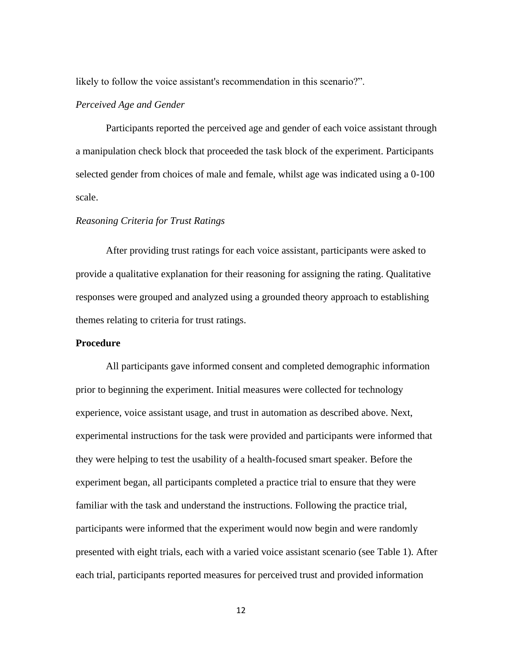likely to follow the voice assistant's recommendation in this scenario?".

# *Perceived Age and Gender*

Participants reported the perceived age and gender of each voice assistant through a manipulation check block that proceeded the task block of the experiment. Participants selected gender from choices of male and female, whilst age was indicated using a 0-100 scale.

# *Reasoning Criteria for Trust Ratings*

After providing trust ratings for each voice assistant, participants were asked to provide a qualitative explanation for their reasoning for assigning the rating. Qualitative responses were grouped and analyzed using a grounded theory approach to establishing themes relating to criteria for trust ratings.

### **Procedure**

All participants gave informed consent and completed demographic information prior to beginning the experiment. Initial measures were collected for technology experience, voice assistant usage, and trust in automation as described above. Next, experimental instructions for the task were provided and participants were informed that they were helping to test the usability of a health-focused smart speaker. Before the experiment began, all participants completed a practice trial to ensure that they were familiar with the task and understand the instructions. Following the practice trial, participants were informed that the experiment would now begin and were randomly presented with eight trials, each with a varied voice assistant scenario (see Table 1). After each trial, participants reported measures for perceived trust and provided information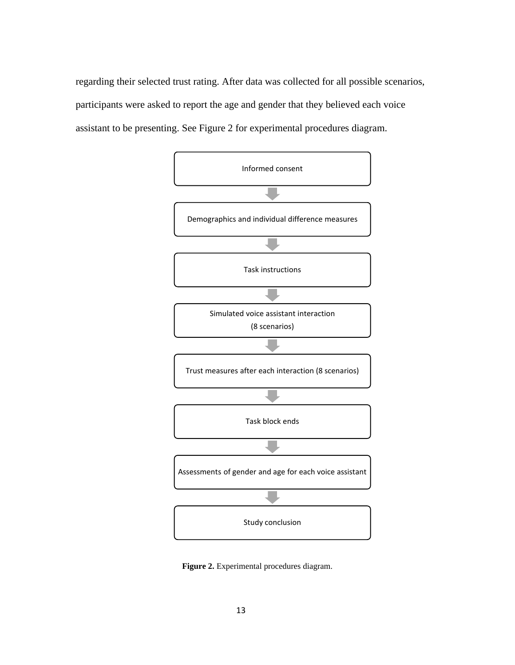regarding their selected trust rating. After data was collected for all possible scenarios, participants were asked to report the age and gender that they believed each voice assistant to be presenting. See Figure 2 for experimental procedures diagram.



**Figure 2.** Experimental procedures diagram.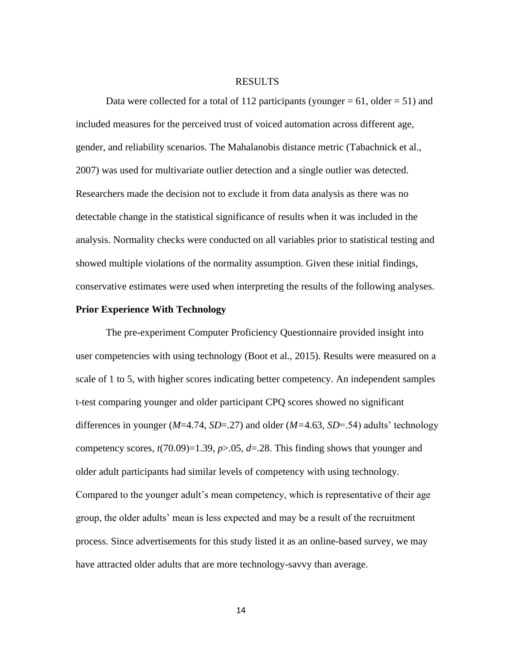#### RESULTS

Data were collected for a total of 112 participants (younger  $= 61$ , older  $= 51$ ) and included measures for the perceived trust of voiced automation across different age, gender, and reliability scenarios. The Mahalanobis distance metric (Tabachnick et al., 2007) was used for multivariate outlier detection and a single outlier was detected. Researchers made the decision not to exclude it from data analysis as there was no detectable change in the statistical significance of results when it was included in the analysis. Normality checks were conducted on all variables prior to statistical testing and showed multiple violations of the normality assumption. Given these initial findings, conservative estimates were used when interpreting the results of the following analyses.

# **Prior Experience With Technology**

The pre-experiment Computer Proficiency Questionnaire provided insight into user competencies with using technology (Boot et al., 2015). Results were measured on a scale of 1 to 5, with higher scores indicating better competency. An independent samples t-test comparing younger and older participant CPQ scores showed no significant differences in younger (*M*=4.74, *SD*=.27) and older (*M=*4.63, *SD*=.54) adults' technology competency scores,  $t(70.09)=1.39$ ,  $p>0.05$ ,  $d=.28$ . This finding shows that younger and older adult participants had similar levels of competency with using technology. Compared to the younger adult's mean competency, which is representative of their age group, the older adults' mean is less expected and may be a result of the recruitment process. Since advertisements for this study listed it as an online-based survey, we may have attracted older adults that are more technology-savvy than average.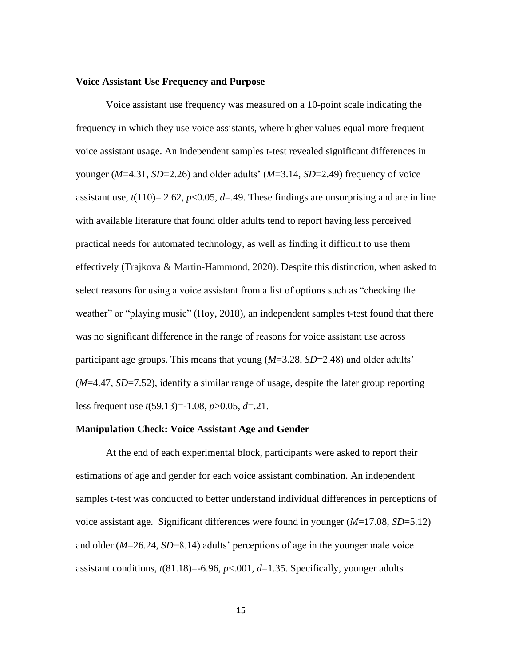#### **Voice Assistant Use Frequency and Purpose**

Voice assistant use frequency was measured on a 10-point scale indicating the frequency in which they use voice assistants, where higher values equal more frequent voice assistant usage. An independent samples t-test revealed significant differences in younger (*M*=4.31, *SD*=2.26) and older adults' (*M*=3.14, *SD*=2.49) frequency of voice assistant use,  $t(110)=2.62$ ,  $p<0.05$ ,  $d=49$ . These findings are unsurprising and are in line with available literature that found older adults tend to report having less perceived practical needs for automated technology, as well as finding it difficult to use them effectively (Trajkova & Martin-Hammond, 2020). Despite this distinction, when asked to select reasons for using a voice assistant from a list of options such as "checking the weather" or "playing music" (Hoy, 2018), an independent samples t-test found that there was no significant difference in the range of reasons for voice assistant use across participant age groups. This means that young (*M*=3.28, *SD*=2.48) and older adults' (*M*=4.47, *SD*=7.52), identify a similar range of usage, despite the later group reporting less frequent use *t*(59.13)=-1.08, *p*>0.05, *d*=.21.

## **Manipulation Check: Voice Assistant Age and Gender**

At the end of each experimental block, participants were asked to report their estimations of age and gender for each voice assistant combination. An independent samples t-test was conducted to better understand individual differences in perceptions of voice assistant age. Significant differences were found in younger (*M*=17.08, *SD*=5.12) and older (*M*=26.24, *SD*=8.14) adults' perceptions of age in the younger male voice assistant conditions,  $t(81.18)=6.96$ ,  $p<.001$ ,  $d=1.35$ . Specifically, younger adults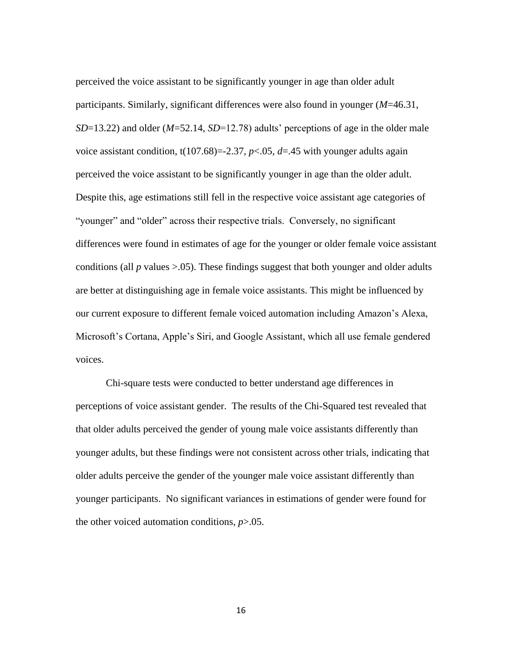perceived the voice assistant to be significantly younger in age than older adult participants. Similarly, significant differences were also found in younger (*M*=46.31, *SD*=13.22) and older (*M*=52.14, *SD*=12.78) adults' perceptions of age in the older male voice assistant condition,  $t(107.68) = -2.37$ ,  $p < .05$ ,  $d = .45$  with younger adults again perceived the voice assistant to be significantly younger in age than the older adult. Despite this, age estimations still fell in the respective voice assistant age categories of "younger" and "older" across their respective trials. Conversely, no significant differences were found in estimates of age for the younger or older female voice assistant conditions (all  $p$  values  $> 0.05$ ). These findings suggest that both younger and older adults are better at distinguishing age in female voice assistants. This might be influenced by our current exposure to different female voiced automation including Amazon's Alexa, Microsoft's Cortana, Apple's Siri, and Google Assistant, which all use female gendered voices.

Chi-square tests were conducted to better understand age differences in perceptions of voice assistant gender. The results of the Chi-Squared test revealed that that older adults perceived the gender of young male voice assistants differently than younger adults, but these findings were not consistent across other trials, indicating that older adults perceive the gender of the younger male voice assistant differently than younger participants. No significant variances in estimations of gender were found for the other voiced automation conditions, *p*>.05.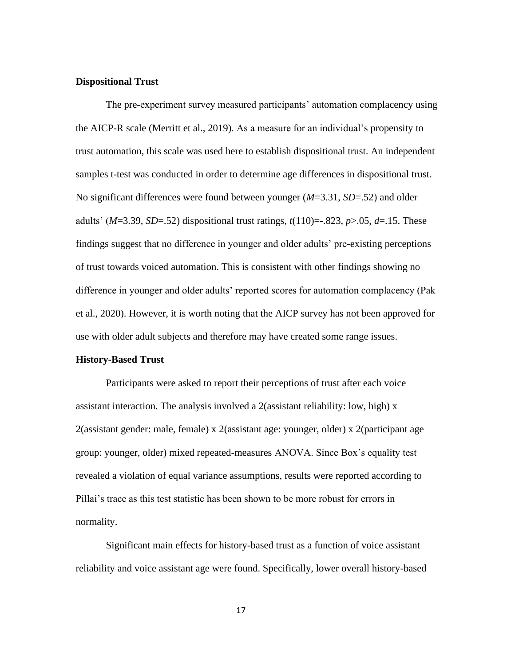#### **Dispositional Trust**

The pre-experiment survey measured participants' automation complacency using the AICP-R scale (Merritt et al., 2019). As a measure for an individual's propensity to trust automation, this scale was used here to establish dispositional trust. An independent samples t-test was conducted in order to determine age differences in dispositional trust. No significant differences were found between younger (*M*=3.31, *SD*=.52) and older adults' (*M*=3.39, *SD*=.52) dispositional trust ratings, *t*(110)=-.823, *p*>.05, *d*=.15. These findings suggest that no difference in younger and older adults' pre-existing perceptions of trust towards voiced automation. This is consistent with other findings showing no difference in younger and older adults' reported scores for automation complacency (Pak et al., 2020). However, it is worth noting that the AICP survey has not been approved for use with older adult subjects and therefore may have created some range issues.

# **History-Based Trust**

Participants were asked to report their perceptions of trust after each voice assistant interaction. The analysis involved a 2(assistant reliability: low, high) x 2(assistant gender: male, female) x 2(assistant age: younger, older) x 2(participant age group: younger, older) mixed repeated-measures ANOVA. Since Box's equality test revealed a violation of equal variance assumptions, results were reported according to Pillai's trace as this test statistic has been shown to be more robust for errors in normality.

Significant main effects for history-based trust as a function of voice assistant reliability and voice assistant age were found. Specifically, lower overall history-based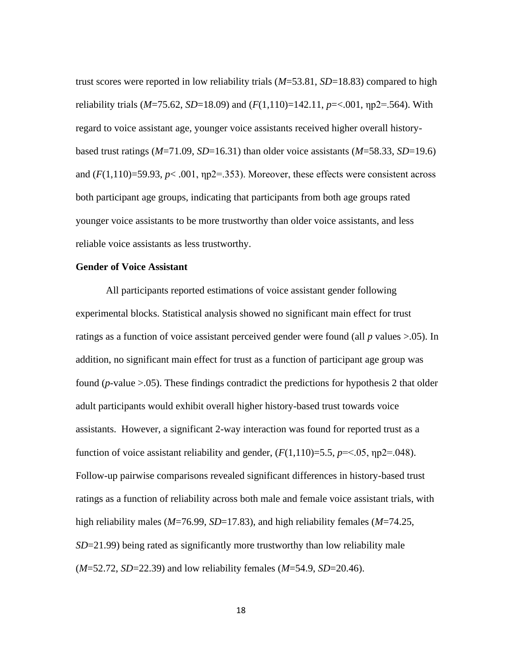trust scores were reported in low reliability trials (*M*=53.81, *SD*=18.83) compared to high reliability trials (*M*=75.62, *SD*=18.09) and (*F*(1,110)=142.11, *p*=<.001, ηp2=.564). With regard to voice assistant age, younger voice assistants received higher overall historybased trust ratings (*M*=71.09, *SD*=16.31) than older voice assistants (*M*=58.33, *SD*=19.6) and  $(F(1,110)=59.93, p< .001, \text{np2}=.353)$ . Moreover, these effects were consistent across both participant age groups, indicating that participants from both age groups rated younger voice assistants to be more trustworthy than older voice assistants, and less reliable voice assistants as less trustworthy.

#### **Gender of Voice Assistant**

All participants reported estimations of voice assistant gender following experimental blocks. Statistical analysis showed no significant main effect for trust ratings as a function of voice assistant perceived gender were found (all *p* values >.05). In addition, no significant main effect for trust as a function of participant age group was found ( $p$ -value  $> 0.05$ ). These findings contradict the predictions for hypothesis 2 that older adult participants would exhibit overall higher history-based trust towards voice assistants. However, a significant 2-way interaction was found for reported trust as a function of voice assistant reliability and gender,  $(F(1,110)=5.5, p=<.05, \text{np2}=<.048)$ . Follow-up pairwise comparisons revealed significant differences in history-based trust ratings as a function of reliability across both male and female voice assistant trials, with high reliability males (*M*=76.99, *SD*=17.83), and high reliability females (*M*=74.25, *SD*=21.99) being rated as significantly more trustworthy than low reliability male (*M*=52.72, *SD*=22.39) and low reliability females (*M*=54.9, *SD*=20.46).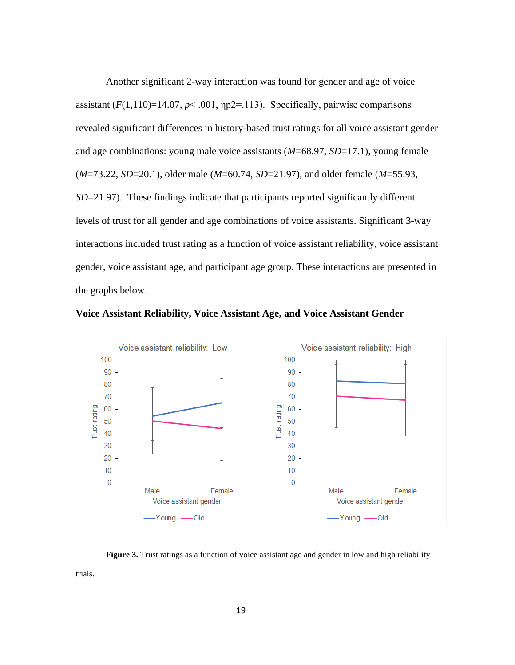Another significant 2-way interaction was found for gender and age of voice assistant  $(F(1,110)=14.07, p< .001, np2=.113)$ . Specifically, pairwise comparisons revealed significant differences in history-based trust ratings for all voice assistant gender and age combinations: young male voice assistants (*M*=68.97, *SD*=17.1), young female (*M*=73.22, *SD*=20.1), older male (*M*=60.74, *SD*=21.97), and older female (*M*=55.93, *SD*=21.97). These findings indicate that participants reported significantly different levels of trust for all gender and age combinations of voice assistants. Significant 3-way interactions included trust rating as a function of voice assistant reliability, voice assistant gender, voice assistant age, and participant age group. These interactions are presented in the graphs below.



**Voice Assistant Reliability, Voice Assistant Age, and Voice Assistant Gender** 

**Figure 3.** Trust ratings as a function of voice assistant age and gender in low and high reliability

19

trials.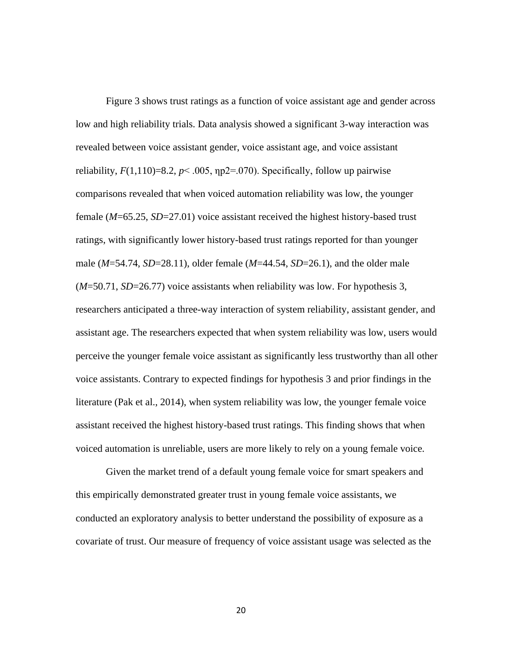Figure 3 shows trust ratings as a function of voice assistant age and gender across low and high reliability trials. Data analysis showed a significant 3-way interaction was revealed between voice assistant gender, voice assistant age, and voice assistant reliability,  $F(1,110)=8.2$ ,  $p<.005$ ,  $np2=.070$ ). Specifically, follow up pairwise comparisons revealed that when voiced automation reliability was low, the younger female (*M*=65.25, *SD*=27.01) voice assistant received the highest history-based trust ratings, with significantly lower history-based trust ratings reported for than younger male (*M*=54.74, *SD*=28.11), older female (*M*=44.54, *SD*=26.1), and the older male (*M*=50.71, *SD*=26.77) voice assistants when reliability was low. For hypothesis 3, researchers anticipated a three-way interaction of system reliability, assistant gender, and assistant age. The researchers expected that when system reliability was low, users would perceive the younger female voice assistant as significantly less trustworthy than all other voice assistants. Contrary to expected findings for hypothesis 3 and prior findings in the literature (Pak et al., 2014), when system reliability was low, the younger female voice assistant received the highest history-based trust ratings. This finding shows that when voiced automation is unreliable, users are more likely to rely on a young female voice.

Given the market trend of a default young female voice for smart speakers and this empirically demonstrated greater trust in young female voice assistants, we conducted an exploratory analysis to better understand the possibility of exposure as a covariate of trust. Our measure of frequency of voice assistant usage was selected as the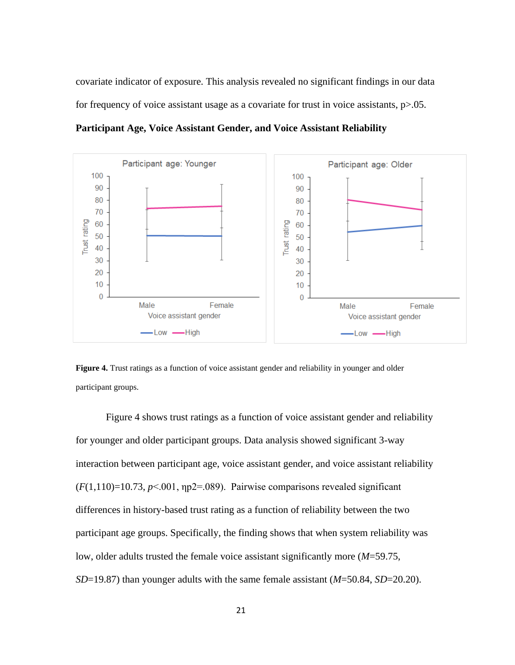covariate indicator of exposure. This analysis revealed no significant findings in our data for frequency of voice assistant usage as a covariate for trust in voice assistants,  $p > 0.05$ .

**Participant Age, Voice Assistant Gender, and Voice Assistant Reliability** 



**Figure 4.** Trust ratings as a function of voice assistant gender and reliability in younger and older participant groups.

Figure 4 shows trust ratings as a function of voice assistant gender and reliability for younger and older participant groups. Data analysis showed significant 3-way interaction between participant age, voice assistant gender, and voice assistant reliability  $(F(1,110)=10.73, p<0.01, \eta p2=.089)$ . Pairwise comparisons revealed significant differences in history-based trust rating as a function of reliability between the two participant age groups. Specifically, the finding shows that when system reliability was low, older adults trusted the female voice assistant significantly more (*M*=59.75, *SD*=19.87) than younger adults with the same female assistant (*M*=50.84, *SD*=20.20).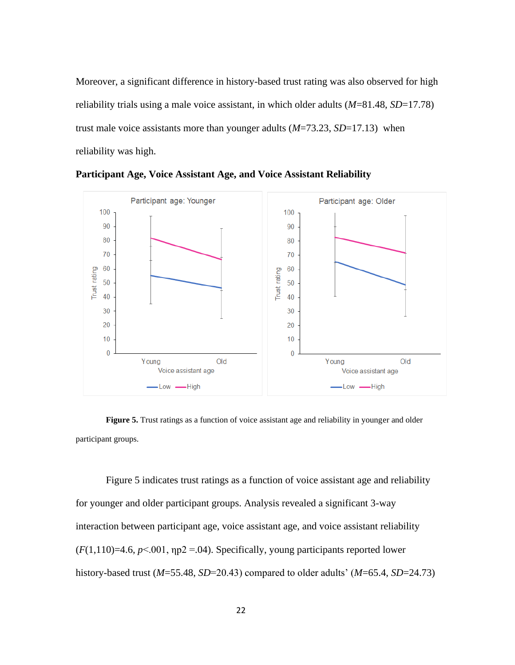Moreover, a significant difference in history-based trust rating was also observed for high reliability trials using a male voice assistant, in which older adults (*M*=81.48, *SD*=17.78) trust male voice assistants more than younger adults (*M*=73.23, *SD*=17.13) when reliability was high.



**Participant Age, Voice Assistant Age, and Voice Assistant Reliability**

**Figure 5.** Trust ratings as a function of voice assistant age and reliability in younger and older participant groups.

Figure 5 indicates trust ratings as a function of voice assistant age and reliability for younger and older participant groups. Analysis revealed a significant 3-way interaction between participant age, voice assistant age, and voice assistant reliability  $(F(1,110)=4.6, p<.001, \eta p2 = .04)$ . Specifically, young participants reported lower history-based trust (*M*=55.48, *SD*=20.43) compared to older adults' (*M*=65.4, *SD*=24.73)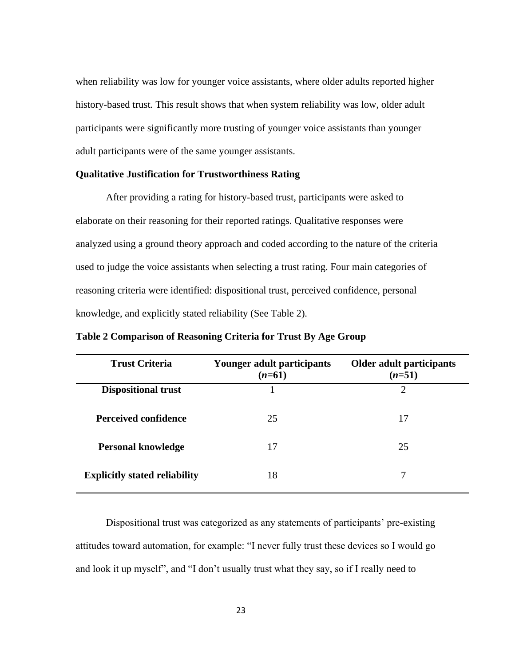when reliability was low for younger voice assistants, where older adults reported higher history-based trust. This result shows that when system reliability was low, older adult participants were significantly more trusting of younger voice assistants than younger adult participants were of the same younger assistants.

#### **Qualitative Justification for Trustworthiness Rating**

After providing a rating for history-based trust, participants were asked to elaborate on their reasoning for their reported ratings. Qualitative responses were analyzed using a ground theory approach and coded according to the nature of the criteria used to judge the voice assistants when selecting a trust rating. Four main categories of reasoning criteria were identified: dispositional trust, perceived confidence, personal knowledge, and explicitly stated reliability (See Table 2).

| <b>Trust Criteria</b>                | Younger adult participants<br>$(n=61)$ | <b>Older adult participants</b><br>$(n=51)$ |
|--------------------------------------|----------------------------------------|---------------------------------------------|
| <b>Dispositional trust</b>           |                                        | $\overline{2}$                              |
| <b>Perceived confidence</b>          | 25                                     | 17                                          |
| <b>Personal knowledge</b>            | 17                                     | 25                                          |
| <b>Explicitly stated reliability</b> | 18                                     | 7                                           |

**Table 2 Comparison of Reasoning Criteria for Trust By Age Group**

Dispositional trust was categorized as any statements of participants' pre-existing attitudes toward automation, for example: "I never fully trust these devices so I would go and look it up myself", and "I don't usually trust what they say, so if I really need to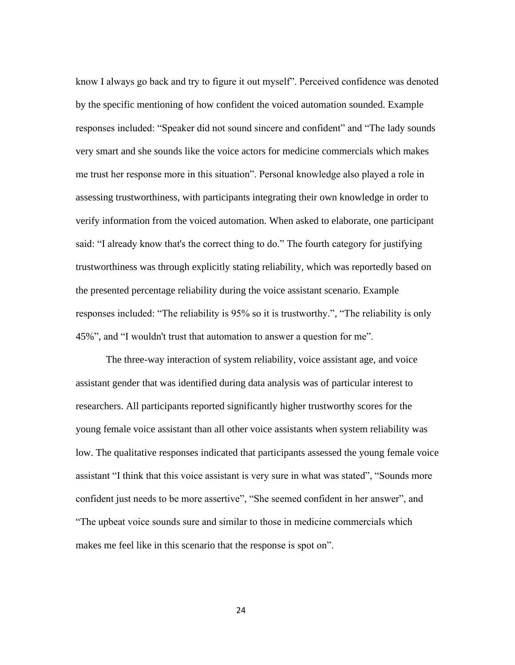know I always go back and try to figure it out myself". Perceived confidence was denoted by the specific mentioning of how confident the voiced automation sounded. Example responses included: "Speaker did not sound sincere and confident" and "The lady sounds very smart and she sounds like the voice actors for medicine commercials which makes me trust her response more in this situation". Personal knowledge also played a role in assessing trustworthiness, with participants integrating their own knowledge in order to verify information from the voiced automation. When asked to elaborate, one participant said: "I already know that's the correct thing to do." The fourth category for justifying trustworthiness was through explicitly stating reliability, which was reportedly based on the presented percentage reliability during the voice assistant scenario. Example responses included: "The reliability is 95% so it is trustworthy.", "The reliability is only 45%", and "I wouldn't trust that automation to answer a question for me".

The three-way interaction of system reliability, voice assistant age, and voice assistant gender that was identified during data analysis was of particular interest to researchers. All participants reported significantly higher trustworthy scores for the young female voice assistant than all other voice assistants when system reliability was low. The qualitative responses indicated that participants assessed the young female voice assistant "I think that this voice assistant is very sure in what was stated", "Sounds more confident just needs to be more assertive", "She seemed confident in her answer", and "The upbeat voice sounds sure and similar to those in medicine commercials which makes me feel like in this scenario that the response is spot on".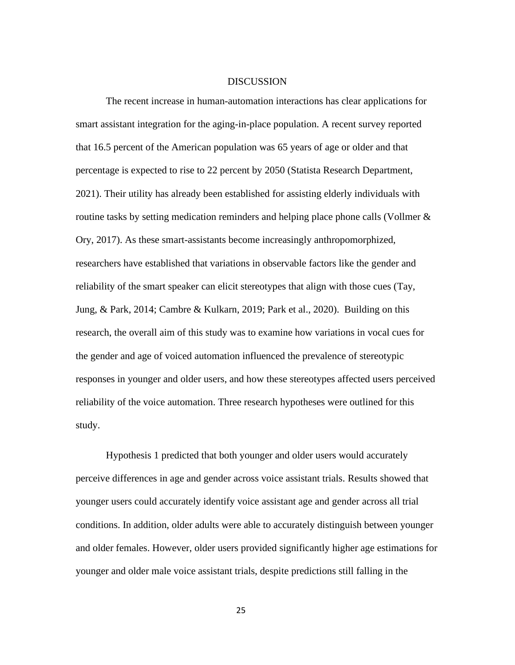#### **DISCUSSION**

The recent increase in human-automation interactions has clear applications for smart assistant integration for the aging-in-place population. A recent survey reported that 16.5 percent of the American population was 65 years of age or older and that percentage is expected to rise to 22 percent by 2050 [\(Statista Research Department,](https://www.statista.com/aboutus/our-research-commitment) 2021). Their utility has already been established for assisting elderly individuals with routine tasks by setting medication reminders and helping place phone calls (Vollmer & Ory, 2017). As these smart-assistants become increasingly anthropomorphized, researchers have established that variations in observable factors like the gender and reliability of the smart speaker can elicit stereotypes that align with those cues (Tay, Jung, & Park, 2014; Cambre & Kulkarn, 2019; Park et al., 2020). Building on this research, the overall aim of this study was to examine how variations in vocal cues for the gender and age of voiced automation influenced the prevalence of stereotypic responses in younger and older users, and how these stereotypes affected users perceived reliability of the voice automation. Three research hypotheses were outlined for this study.

Hypothesis 1 predicted that both younger and older users would accurately perceive differences in age and gender across voice assistant trials. Results showed that younger users could accurately identify voice assistant age and gender across all trial conditions. In addition, older adults were able to accurately distinguish between younger and older females. However, older users provided significantly higher age estimations for younger and older male voice assistant trials, despite predictions still falling in the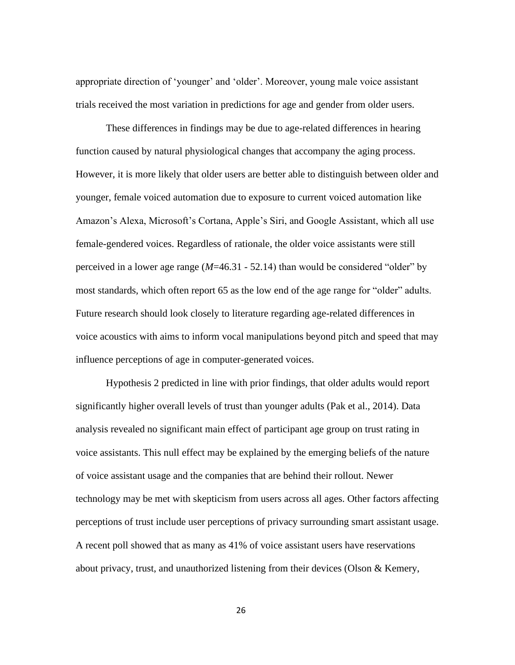appropriate direction of 'younger' and 'older'. Moreover, young male voice assistant trials received the most variation in predictions for age and gender from older users.

These differences in findings may be due to age-related differences in hearing function caused by natural physiological changes that accompany the aging process. However, it is more likely that older users are better able to distinguish between older and younger, female voiced automation due to exposure to current voiced automation like Amazon's Alexa, Microsoft's Cortana, Apple's Siri, and Google Assistant, which all use female-gendered voices. Regardless of rationale, the older voice assistants were still perceived in a lower age range (*M*=46.31 - 52.14) than would be considered "older" by most standards, which often report 65 as the low end of the age range for "older" adults. Future research should look closely to literature regarding age-related differences in voice acoustics with aims to inform vocal manipulations beyond pitch and speed that may influence perceptions of age in computer-generated voices.

Hypothesis 2 predicted in line with prior findings, that older adults would report significantly higher overall levels of trust than younger adults (Pak et al., 2014). Data analysis revealed no significant main effect of participant age group on trust rating in voice assistants. This null effect may be explained by the emerging beliefs of the nature of voice assistant usage and the companies that are behind their rollout. Newer technology may be met with skepticism from users across all ages. Other factors affecting perceptions of trust include user perceptions of privacy surrounding smart assistant usage. A recent poll showed that as many as 41% of voice assistant users have reservations about privacy, trust, and unauthorized listening from their devices (Olson & Kemery,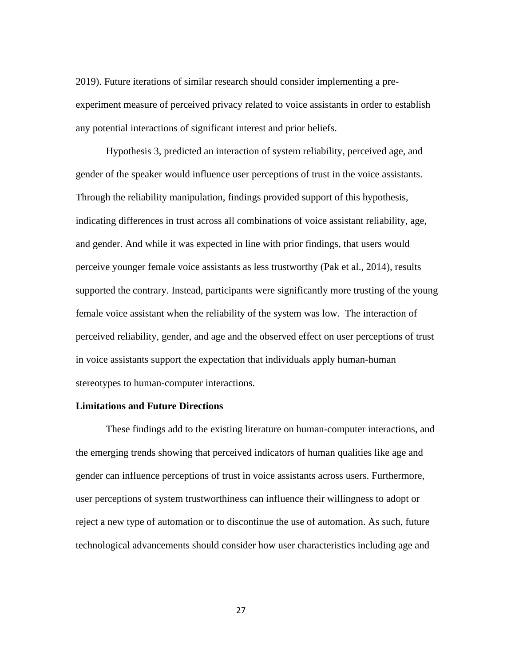2019). Future iterations of similar research should consider implementing a preexperiment measure of perceived privacy related to voice assistants in order to establish any potential interactions of significant interest and prior beliefs.

Hypothesis 3, predicted an interaction of system reliability, perceived age, and gender of the speaker would influence user perceptions of trust in the voice assistants. Through the reliability manipulation, findings provided support of this hypothesis, indicating differences in trust across all combinations of voice assistant reliability, age, and gender. And while it was expected in line with prior findings, that users would perceive younger female voice assistants as less trustworthy (Pak et al., 2014), results supported the contrary. Instead, participants were significantly more trusting of the young female voice assistant when the reliability of the system was low. The interaction of perceived reliability, gender, and age and the observed effect on user perceptions of trust in voice assistants support the expectation that individuals apply human-human stereotypes to human-computer interactions.

### **Limitations and Future Directions**

These findings add to the existing literature on human-computer interactions, and the emerging trends showing that perceived indicators of human qualities like age and gender can influence perceptions of trust in voice assistants across users. Furthermore, user perceptions of system trustworthiness can influence their willingness to adopt or reject a new type of automation or to discontinue the use of automation. As such, future technological advancements should consider how user characteristics including age and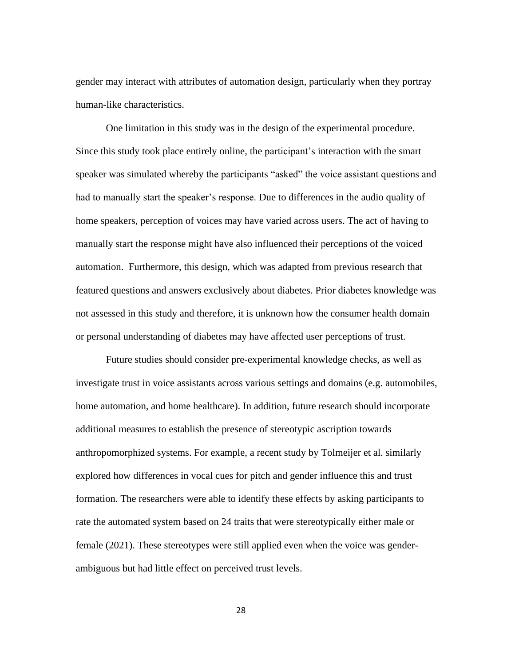gender may interact with attributes of automation design, particularly when they portray human-like characteristics.

One limitation in this study was in the design of the experimental procedure. Since this study took place entirely online, the participant's interaction with the smart speaker was simulated whereby the participants "asked" the voice assistant questions and had to manually start the speaker's response. Due to differences in the audio quality of home speakers, perception of voices may have varied across users. The act of having to manually start the response might have also influenced their perceptions of the voiced automation. Furthermore, this design, which was adapted from previous research that featured questions and answers exclusively about diabetes. Prior diabetes knowledge was not assessed in this study and therefore, it is unknown how the consumer health domain or personal understanding of diabetes may have affected user perceptions of trust.

Future studies should consider pre-experimental knowledge checks, as well as investigate trust in voice assistants across various settings and domains (e.g. automobiles, home automation, and home healthcare). In addition, future research should incorporate additional measures to establish the presence of stereotypic ascription towards anthropomorphized systems. For example, a recent study by Tolmeijer et al. similarly explored how differences in vocal cues for pitch and gender influence this and trust formation. The researchers were able to identify these effects by asking participants to rate the automated system based on 24 traits that were stereotypically either male or female (2021). These stereotypes were still applied even when the voice was genderambiguous but had little effect on perceived trust levels.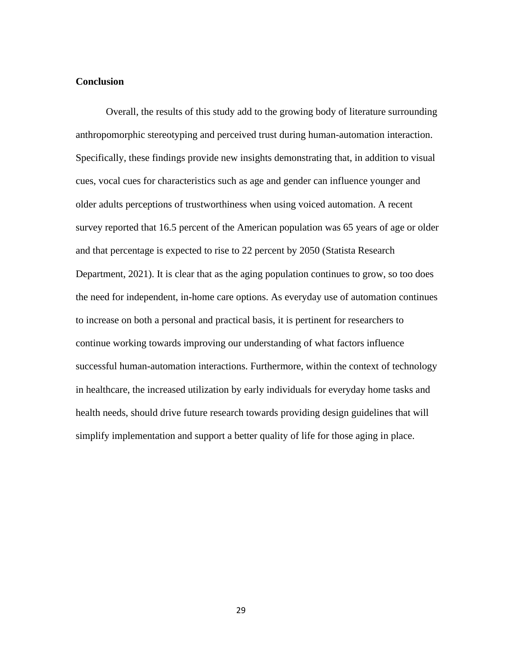# **Conclusion**

Overall, the results of this study add to the growing body of literature surrounding anthropomorphic stereotyping and perceived trust during human-automation interaction. Specifically, these findings provide new insights demonstrating that, in addition to visual cues, vocal cues for characteristics such as age and gender can influence younger and older adults perceptions of trustworthiness when using voiced automation. A recent survey reported that 16.5 percent of the American population was 65 years of age or older and that percentage is expected to rise to 22 percent by 2050 [\(Statista Research](https://www.statista.com/aboutus/our-research-commitment)  [Department,](https://www.statista.com/aboutus/our-research-commitment) 2021). It is clear that as the aging population continues to grow, so too does the need for independent, in-home care options. As everyday use of automation continues to increase on both a personal and practical basis, it is pertinent for researchers to continue working towards improving our understanding of what factors influence successful human-automation interactions. Furthermore, within the context of technology in healthcare, the increased utilization by early individuals for everyday home tasks and health needs, should drive future research towards providing design guidelines that will simplify implementation and support a better quality of life for those aging in place.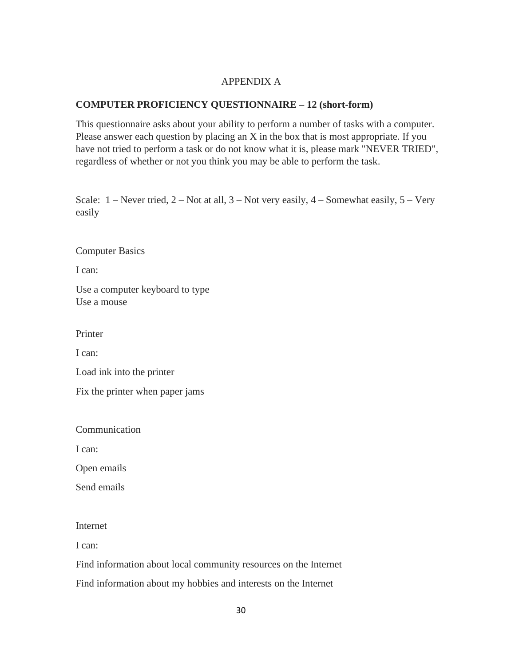# APPENDIX A

# **COMPUTER PROFICIENCY QUESTIONNAIRE – 12 (short-form)**

This questionnaire asks about your ability to perform a number of tasks with a computer. Please answer each question by placing an X in the box that is most appropriate. If you have not tried to perform a task or do not know what it is, please mark "NEVER TRIED", regardless of whether or not you think you may be able to perform the task.

Scale:  $1$  – Never tried,  $2$  – Not at all,  $3$  – Not very easily,  $4$  – Somewhat easily,  $5$  – Very easily

Computer Basics

I can:

Use a computer keyboard to type Use a mouse

Printer

I can:

Load ink into the printer

Fix the printer when paper jams

Communication

I can:

Open emails

Send emails

# Internet

I can:

Find information about local community resources on the Internet

Find information about my hobbies and interests on the Internet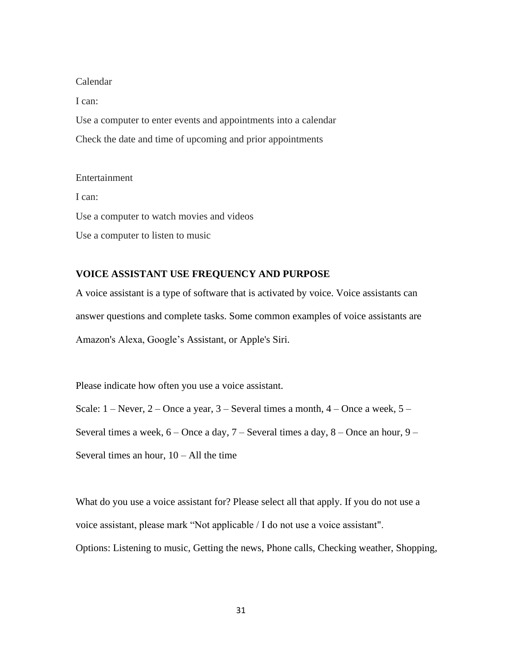Calendar I can: Use a computer to enter events and appointments into a calendar Check the date and time of upcoming and prior appointments

Entertainment I can: Use a computer to watch movies and videos Use a computer to listen to music

# **VOICE ASSISTANT USE FREQUENCY AND PURPOSE**

A voice assistant is a type of software that is activated by voice. Voice assistants can answer questions and complete tasks. Some common examples of voice assistants are Amazon's Alexa, Google's Assistant, or Apple's Siri.

Please indicate how often you use a voice assistant.

Scale:  $1 -$ Never,  $2 -$ Once a year,  $3 -$ Several times a month,  $4 -$ Once a week,  $5 -$ Several times a week,  $6 -$ Once a day,  $7 -$ Several times a day,  $8 -$ Once an hour,  $9 -$ Several times an hour,  $10 - All$  the time

What do you use a voice assistant for? Please select all that apply. If you do not use a voice assistant, please mark "Not applicable / I do not use a voice assistant". Options: Listening to music, Getting the news, Phone calls, Checking weather, Shopping,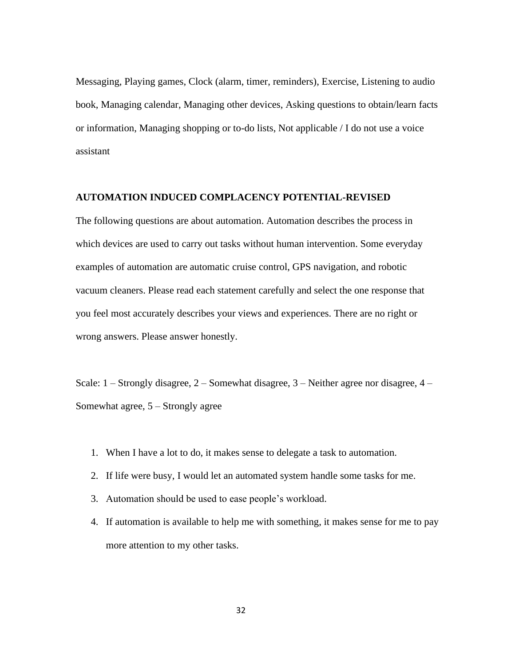Messaging, Playing games, Clock (alarm, timer, reminders), Exercise, Listening to audio book, Managing calendar, Managing other devices, Asking questions to obtain/learn facts or information, Managing shopping or to-do lists, Not applicable / I do not use a voice assistant

### **AUTOMATION INDUCED COMPLACENCY POTENTIAL-REVISED**

The following questions are about automation. Automation describes the process in which devices are used to carry out tasks without human intervention. Some everyday examples of automation are automatic cruise control, GPS navigation, and robotic vacuum cleaners. Please read each statement carefully and select the one response that you feel most accurately describes your views and experiences. There are no right or wrong answers. Please answer honestly.

Scale: 1 – Strongly disagree, 2 – Somewhat disagree, 3 – Neither agree nor disagree, 4 – Somewhat agree, 5 – Strongly agree

- 1. When I have a lot to do, it makes sense to delegate a task to automation.
- 2. If life were busy, I would let an automated system handle some tasks for me.
- 3. Automation should be used to ease people's workload.
- 4. If automation is available to help me with something, it makes sense for me to pay more attention to my other tasks.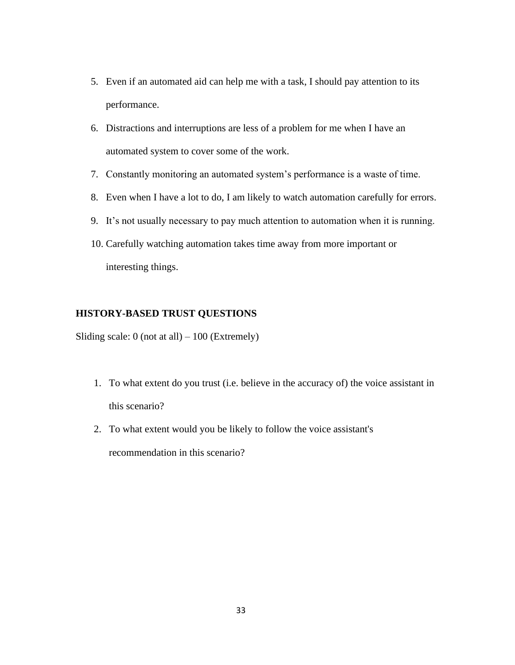- 5. Even if an automated aid can help me with a task, I should pay attention to its performance.
- 6. Distractions and interruptions are less of a problem for me when I have an automated system to cover some of the work.
- 7. Constantly monitoring an automated system's performance is a waste of time.
- 8. Even when I have a lot to do, I am likely to watch automation carefully for errors.
- 9. It's not usually necessary to pay much attention to automation when it is running.
- 10. Carefully watching automation takes time away from more important or interesting things.

# **HISTORY-BASED TRUST QUESTIONS**

Sliding scale:  $0$  (not at all)  $-100$  (Extremely)

- 1. To what extent do you trust (i.e. believe in the accuracy of) the voice assistant in this scenario?
- 2. To what extent would you be likely to follow the voice assistant's recommendation in this scenario?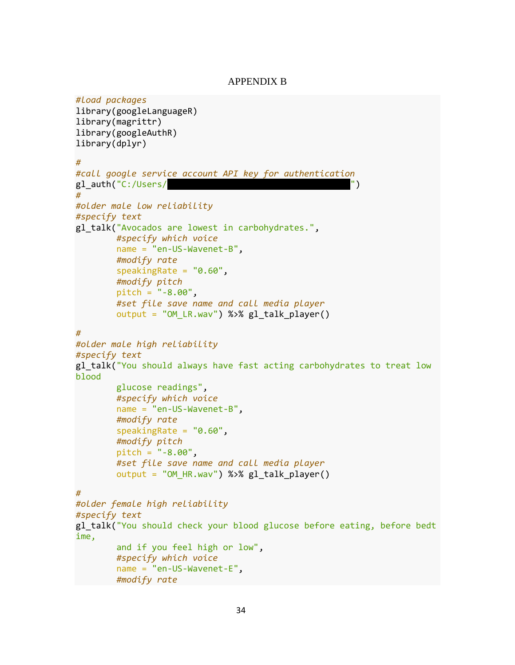### APPENDIX B

```
#load packages
library(googleLanguageR)
library(magrittr)
library(googleAuthR)
library(dplyr)
#
#call google service account API key for authentication 
gl auth("C:/Users/\blacksquare#
#older male low reliability
#specify text
gl talk("Avocados are lowest in carbohydrates.",
         #specify which voice
         name = "en-US-Wavenet-B", 
         #modify rate
        speakingRate = "0.60", #modify pitch
         pitch = "-8.00",
         #set file save name and call media player
         output = "OM_LR.wav") %>% gl_talk_player()
#
#older male high reliability
#specify text
gl_talk("You should always have fast acting carbohydrates to treat low 
blood 
         glucose readings", 
         #specify which voice
         name = "en-US-Wavenet-B", 
         #modify rate
        speakingRate = "0.60", #modify pitch
         pitch = "-8.00",
         #set file save name and call media player
         output = "OM_HR.wav") %>% gl_talk_player()
#
#older female high reliability
#specify text
gl_talk("You should check your blood glucose before eating, before bedt
ime, 
         and if you feel high or low", 
         #specify which voice
         name = "en-US-Wavenet-E", 
         #modify rate
```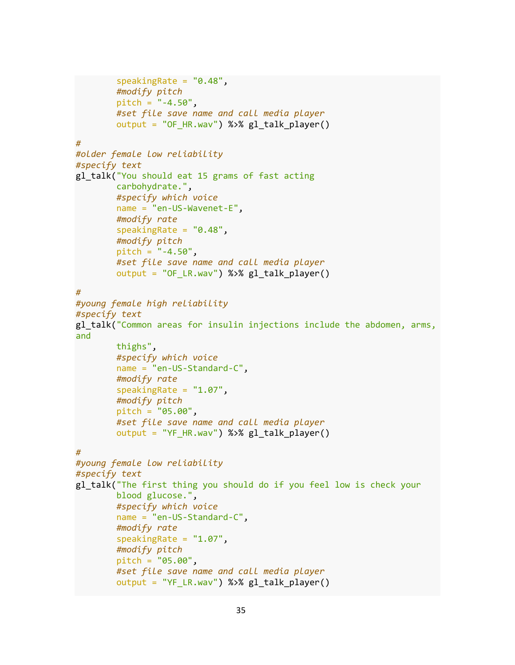```
speakingRate = "0.48", #modify pitch
        pitch = " -4.50". #set file save name and call media player
         output = "OF_HR.wav") %>% gl_talk_player()
#
#older female low reliability
#specify text
gl_talk("You should eat 15 grams of fast acting 
         carbohydrate.", 
         #specify which voice
         name = "en-US-Wavenet-E", 
         #modify rate
         speakingRate = "0.48", 
         #modify pitch
         pitch = "-4.50",
         #set file save name and call media player
         output = "OF_LR.wav") %>% gl_talk_player()
#
#young female high reliability
#specify text
gl_talk("Common areas for insulin injections include the abdomen, arms, 
and 
         thighs", 
         #specify which voice
         name = "en-US-Standard-C",
         #modify rate
        speakingRate = "1.07", #modify pitch
         pitch = "05.00", 
         #set file save name and call media player
         output = "YF_HR.wav") %>% gl_talk_player()
#
#young female low reliability
#specify text
gl_talk("The first thing you should do if you feel low is check your 
         blood glucose.", 
         #specify which voice
         name = "en-US-Standard-C",
         #modify rate
         speakingRate = "1.07", 
         #modify pitch
         pitch = "05.00", 
         #set file save name and call media player
        output = "YF LR.wav") %>% gl talk player()
```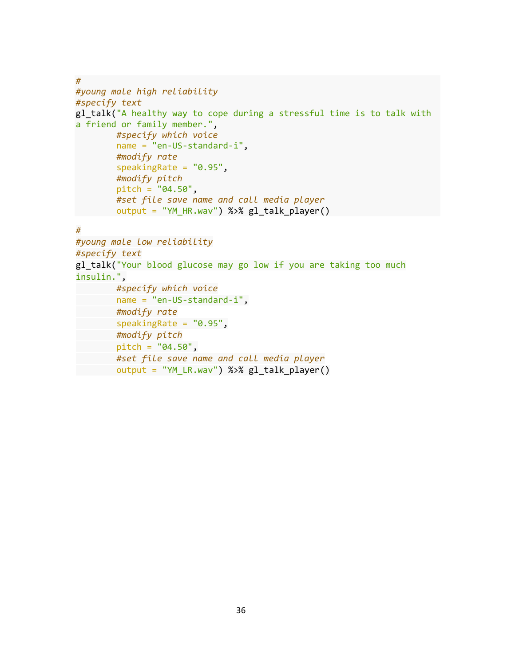```
#
#young male high reliability
#specify text
gl_talk("A healthy way to cope during a stressful time is to talk with 
a friend or family member.", 
         #specify which voice
         name = "en-US-standard-i", 
         #modify rate
        speakingRate = "0.95",
         #modify pitch
         pitch = "04.50", 
         #set file save name and call media player
         output = "YM_HR.wav") %>% gl_talk_player()
```
#### *#*

```
#young male low reliability
#specify text
gl_talk("Your blood glucose may go low if you are taking too much 
insulin.", 
         #specify which voice
         name = "en-US-standard-i", 
         #modify rate
        speakingRate = "0.95",
        #modify pitch
        pitch = "04.50", 
        #set file save name and call media player
       output = "YM_LR.wav") %>% gl_talk_player()
```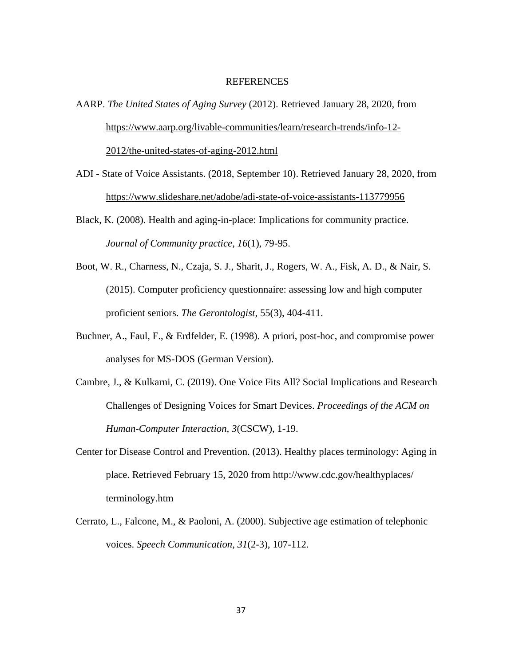#### REFERENCES

AARP. *The United States of Aging Survey* (2012). Retrieved January 28, 2020, from [https://www.aarp.org/livable-communities/learn/research-trends/info-12-](https://www.aarp.org/livable-communities/learn/research-trends/info-12-2012/the-united-states-of-aging-2012.html) [2012/the-united-states-of-aging-2012.html](https://www.aarp.org/livable-communities/learn/research-trends/info-12-2012/the-united-states-of-aging-2012.html)

ADI - State of Voice Assistants. (2018, September 10). Retrieved January 28, 2020, from <https://www.slideshare.net/adobe/adi-state-of-voice-assistants-113779956>

Black, K. (2008). Health and aging-in-place: Implications for community practice. *Journal of Community practice*, *16*(1), 79-95.

- Boot, W. R., Charness, N., Czaja, S. J., Sharit, J., Rogers, W. A., Fisk, A. D., & Nair, S. (2015). Computer proficiency questionnaire: assessing low and high computer proficient seniors. *The Gerontologist*, 55(3), 404-411.
- Buchner, A., Faul, F., & Erdfelder, E. (1998). A priori, post-hoc, and compromise power analyses for MS-DOS (German Version).
- Cambre, J., & Kulkarni, C. (2019). One Voice Fits All? Social Implications and Research Challenges of Designing Voices for Smart Devices. *Proceedings of the ACM on Human-Computer Interaction, 3*(CSCW), 1-19.
- Center for Disease Control and Prevention. (2013). Healthy places terminology: Aging in place. Retrieved February 15, 2020 from http://www.cdc.gov/healthyplaces/ terminology.htm
- Cerrato, L., Falcone, M., & Paoloni, A. (2000). Subjective age estimation of telephonic voices. *Speech Communication, 31*(2-3), 107-112.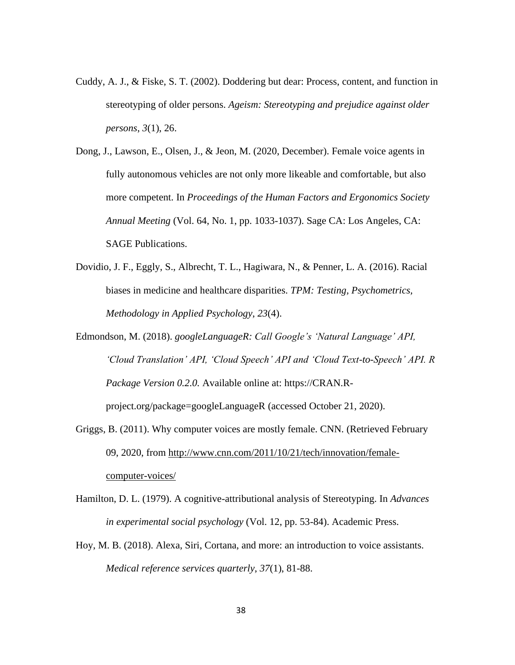- Cuddy, A. J., & Fiske, S. T. (2002). Doddering but dear: Process, content, and function in stereotyping of older persons. *Ageism: Stereotyping and prejudice against older persons*, *3*(1), 26.
- Dong, J., Lawson, E., Olsen, J., & Jeon, M. (2020, December). Female voice agents in fully autonomous vehicles are not only more likeable and comfortable, but also more competent. In *Proceedings of the Human Factors and Ergonomics Society Annual Meeting* (Vol. 64, No. 1, pp. 1033-1037). Sage CA: Los Angeles, CA: SAGE Publications.
- Dovidio, J. F., Eggly, S., Albrecht, T. L., Hagiwara, N., & Penner, L. A. (2016). Racial biases in medicine and healthcare disparities. *TPM: Testing, Psychometrics, Methodology in Applied Psychology*, *23*(4).
- Edmondson, M. (2018). *googleLanguageR: Call Google's 'Natural Language' API, 'Cloud Translation' API, 'Cloud Speech' API and 'Cloud Text-to-Speech' API. R Package Version 0.2.0.* Available online at: https://CRAN.Rproject.org/package=googleLanguageR (accessed October 21, 2020).
- Griggs, B. (2011). Why computer voices are mostly female. CNN. (Retrieved February 09, 2020, from [http://www.cnn.com/2011/10/21/tech/innovation/female](http://www.cnn.com/2011/10/21/tech/innovation/female-computer-voices/)[computer-voices/](http://www.cnn.com/2011/10/21/tech/innovation/female-computer-voices/)
- Hamilton, D. L. (1979). A cognitive-attributional analysis of Stereotyping. In *Advances in experimental social psychology* (Vol. 12, pp. 53-84). Academic Press.
- Hoy, M. B. (2018). Alexa, Siri, Cortana, and more: an introduction to voice assistants. *Medical reference services quarterly*, *37*(1), 81-88.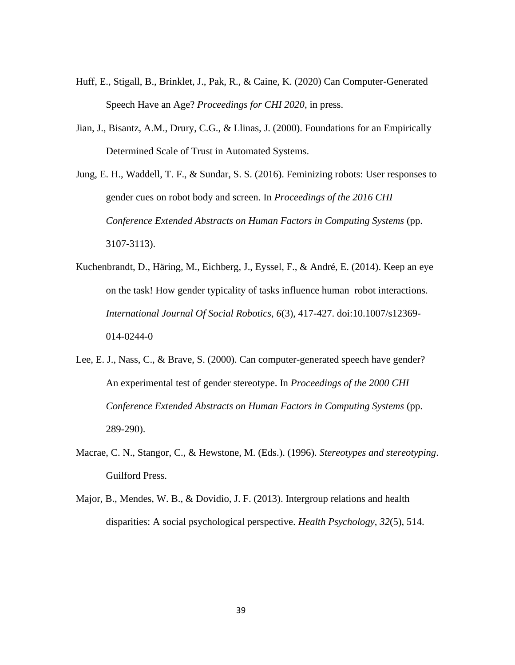- Huff, E., Stigall, B., Brinklet, J., Pak, R., & Caine, K. (2020) Can Computer-Generated Speech Have an Age? *Proceedings for CHI 2020*, in press.
- Jian, J., Bisantz, A.M., Drury, C.G., & Llinas, J. (2000). Foundations for an Empirically Determined Scale of Trust in Automated Systems.

Jung, E. H., Waddell, T. F., & Sundar, S. S. (2016). Feminizing robots: User responses to gender cues on robot body and screen. In *Proceedings of the 2016 CHI Conference Extended Abstracts on Human Factors in Computing Systems* (pp. 3107-3113).

- Kuchenbrandt, D., Häring, M., Eichberg, J., Eyssel, F., & André, E. (2014). Keep an eye on the task! How gender typicality of tasks influence human–robot interactions. *International Journal Of Social Robotics*, *6*(3), 417-427. doi:10.1007/s12369- 014-0244-0
- Lee, E. J., Nass, C., & Brave, S. (2000). Can computer-generated speech have gender? An experimental test of gender stereotype. In *Proceedings of the 2000 CHI Conference Extended Abstracts on Human Factors in Computing Systems* (pp. 289-290).
- Macrae, C. N., Stangor, C., & Hewstone, M. (Eds.). (1996). *Stereotypes and stereotyping*. Guilford Press.
- Major, B., Mendes, W. B., & Dovidio, J. F. (2013). Intergroup relations and health disparities: A social psychological perspective. *Health Psychology*, *32*(5), 514.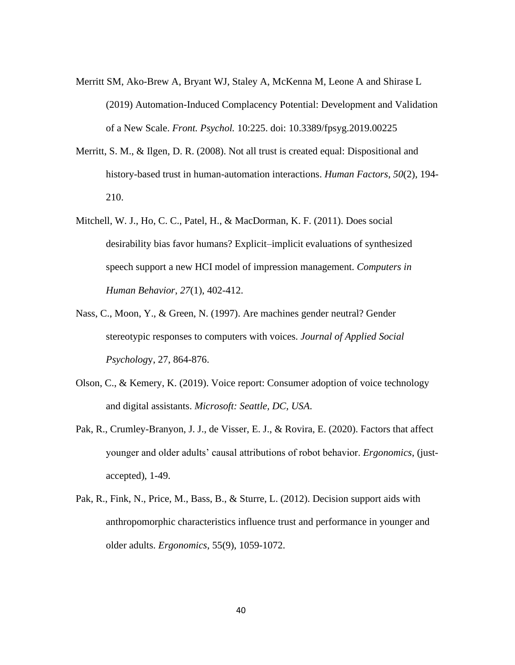- Merritt SM, Ako-Brew A, Bryant WJ, Staley A, McKenna M, Leone A and Shirase L (2019) Automation-Induced Complacency Potential: Development and Validation of a New Scale. *Front. Psychol.* 10:225. doi: 10.3389/fpsyg.2019.00225
- Merritt, S. M., & Ilgen, D. R. (2008). Not all trust is created equal: Dispositional and history-based trust in human-automation interactions. *Human Factors*, *50*(2), 194- 210.
- Mitchell, W. J., Ho, C. C., Patel, H., & MacDorman, K. F. (2011). Does social desirability bias favor humans? Explicit–implicit evaluations of synthesized speech support a new HCI model of impression management. *Computers in Human Behavior*, *27*(1), 402-412.
- Nass, C., Moon, Y., & Green, N. (1997). Are machines gender neutral? Gender stereotypic responses to computers with voices. *Journal of Applied Social Psycholog*y, 27, 864-876.
- Olson, C., & Kemery, K. (2019). Voice report: Consumer adoption of voice technology and digital assistants. *Microsoft: Seattle, DC, USA*.
- Pak, R., Crumley-Branyon, J. J., de Visser, E. J., & Rovira, E. (2020). Factors that affect younger and older adults' causal attributions of robot behavior. *Ergonomics*, (justaccepted), 1-49.
- Pak, R., Fink, N., Price, M., Bass, B., & Sturre, L. (2012). Decision support aids with anthropomorphic characteristics influence trust and performance in younger and older adults. *Ergonomics*, 55(9), 1059-1072.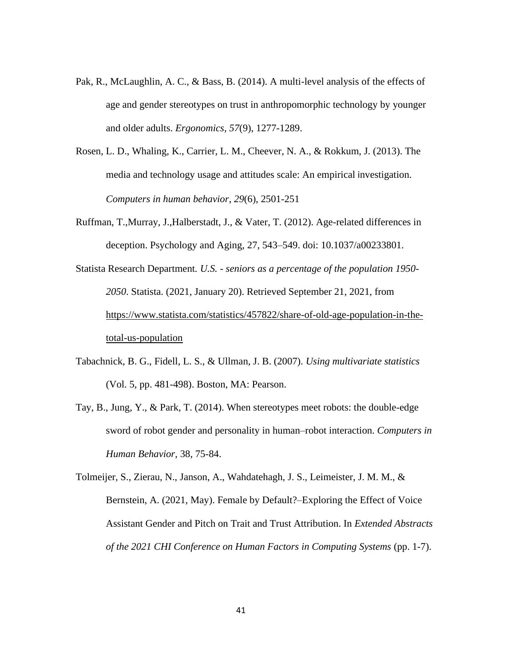- Pak, R., McLaughlin, A. C., & Bass, B. (2014). A multi-level analysis of the effects of age and gender stereotypes on trust in anthropomorphic technology by younger and older adults. *Ergonomics*, *57*(9), 1277-1289.
- Rosen, L. D., Whaling, K., Carrier, L. M., Cheever, N. A., & Rokkum, J. (2013). The media and technology usage and attitudes scale: An empirical investigation. *Computers in human behavior*, *29*(6), 2501-251
- Ruffman, T.,Murray, J.,Halberstadt, J., & Vater, T. (2012). Age-related differences in deception. Psychology and Aging, 27, 543–549. doi: 10.1037/a00233801.
- [Statista Research Department](https://www.statista.com/aboutus/our-research-commitment)*. U.S. - seniors as a percentage of the population 1950- 2050*. Statista. (2021, January 20). Retrieved September 21, 2021, from [https://www.statista.com/statistics/457822/share-of-old-age-population-in-the](https://www.statista.com/statistics/457822/share-of-old-age-population-in-the-total-us-population)[total-us-population](https://www.statista.com/statistics/457822/share-of-old-age-population-in-the-total-us-population)
- Tabachnick, B. G., Fidell, L. S., & Ullman, J. B. (2007). *Using multivariate statistics* (Vol. 5, pp. 481-498). Boston, MA: Pearson.
- Tay, B., Jung, Y., & Park, T. (2014). When stereotypes meet robots: the double-edge sword of robot gender and personality in human–robot interaction. *Computers in Human Behavior*, 38, 75-84.
- Tolmeijer, S., Zierau, N., Janson, A., Wahdatehagh, J. S., Leimeister, J. M. M., & Bernstein, A. (2021, May). Female by Default?–Exploring the Effect of Voice Assistant Gender and Pitch on Trait and Trust Attribution. In *Extended Abstracts of the 2021 CHI Conference on Human Factors in Computing Systems* (pp. 1-7).